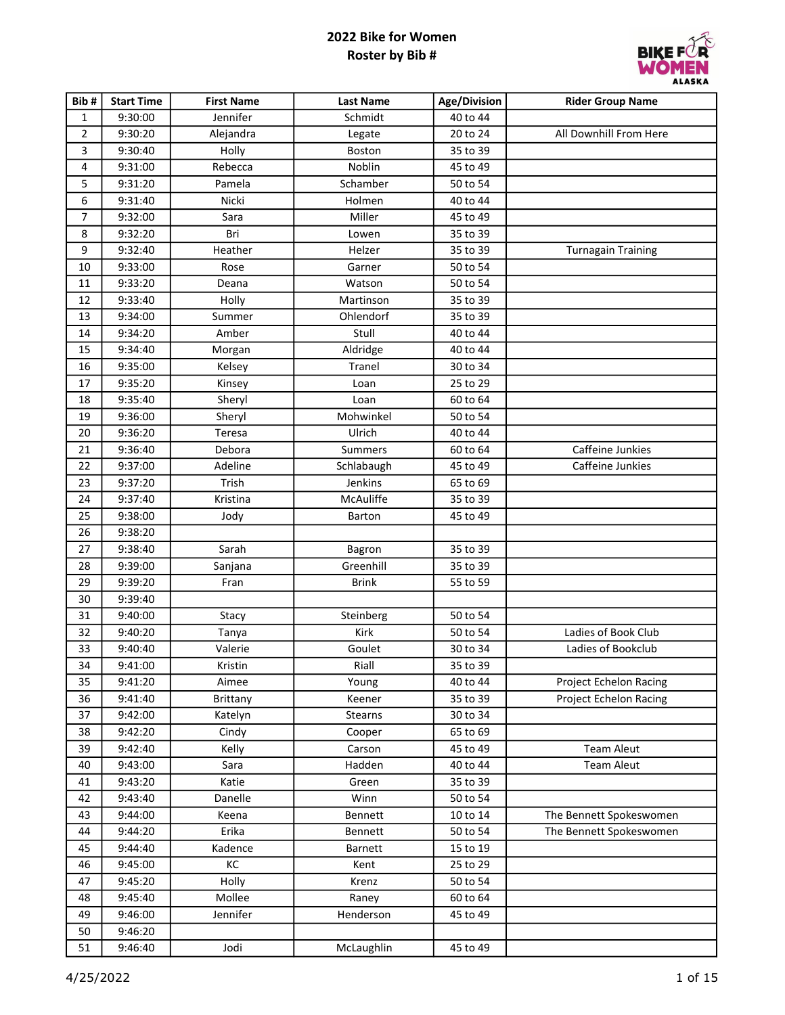

| Bib#           | <b>Start Time</b> | <b>First Name</b> | <b>Last Name</b> | Age/Division | <b>Rider Group Name</b>       |
|----------------|-------------------|-------------------|------------------|--------------|-------------------------------|
| $\mathbf{1}$   | 9:30:00           | Jennifer          | Schmidt          | 40 to 44     |                               |
| $\overline{2}$ | 9:30:20           | Alejandra         | Legate           | 20 to 24     | All Downhill From Here        |
| 3              | 9:30:40           | Holly             | Boston           | 35 to 39     |                               |
| 4              | 9:31:00           | Rebecca           | Noblin           | 45 to 49     |                               |
| 5              | 9:31:20           | Pamela            | Schamber         | 50 to 54     |                               |
| 6              | 9:31:40           | Nicki             | Holmen           | 40 to 44     |                               |
| $\overline{7}$ | 9:32:00           | Sara              | Miller           | 45 to 49     |                               |
| 8              | 9:32:20           | Bri               | Lowen            | 35 to 39     |                               |
| 9              | 9:32:40           | Heather           | Helzer           | 35 to 39     | <b>Turnagain Training</b>     |
| 10             | 9:33:00           | Rose              | Garner           | 50 to 54     |                               |
| 11             | 9:33:20           | Deana             | Watson           | 50 to 54     |                               |
| 12             | 9:33:40           | Holly             | Martinson        | 35 to 39     |                               |
| 13             | 9:34:00           | Summer            | Ohlendorf        | 35 to 39     |                               |
| 14             | 9:34:20           | Amber             | Stull            | 40 to 44     |                               |
| 15             | 9:34:40           | Morgan            | Aldridge         | 40 to 44     |                               |
| 16             | 9:35:00           | Kelsey            | Tranel           | 30 to 34     |                               |
| 17             | 9:35:20           | Kinsey            | Loan             | 25 to 29     |                               |
| 18             | 9:35:40           | Sheryl            | Loan             | 60 to 64     |                               |
| 19             | 9:36:00           | Sheryl            | Mohwinkel        | 50 to 54     |                               |
| 20             | 9:36:20           | Teresa            | Ulrich           | 40 to 44     |                               |
| 21             | 9:36:40           | Debora            | Summers          | 60 to 64     | Caffeine Junkies              |
| 22             | 9:37:00           | Adeline           | Schlabaugh       | 45 to 49     | Caffeine Junkies              |
| 23             | 9:37:20           | Trish             | Jenkins          | 65 to 69     |                               |
| 24             | 9:37:40           | Kristina          | McAuliffe        | 35 to 39     |                               |
| 25             | 9:38:00           | Jody              | Barton           | 45 to 49     |                               |
| 26             | 9:38:20           |                   |                  |              |                               |
| 27             | 9:38:40           | Sarah             | Bagron           | 35 to 39     |                               |
| 28             | 9:39:00           | Sanjana           | Greenhill        | 35 to 39     |                               |
| 29             | 9:39:20           | Fran              | <b>Brink</b>     | 55 to 59     |                               |
| 30             | 9:39:40           |                   |                  |              |                               |
| 31             | 9:40:00           | Stacy             | Steinberg        | 50 to 54     |                               |
| 32             | 9:40:20           | Tanya             | Kirk             | 50 to 54     | Ladies of Book Club           |
| 33             | 9:40:40           | Valerie           | Goulet           | 30 to 34     | Ladies of Bookclub            |
| 34             | 9:41:00           | Kristin           | Riall            | 35 to 39     |                               |
| 35             | 9:41:20           | Aimee             | Young            | 40 to 44     | Project Echelon Racing        |
| 36             | 9:41:40           | Brittany          | Keener           | 35 to 39     | <b>Project Echelon Racing</b> |
| 37             | 9:42:00           | Katelyn           | <b>Stearns</b>   | 30 to 34     |                               |
| 38             | 9:42:20           | Cindy             | Cooper           | 65 to 69     |                               |
| 39             | 9:42:40           | Kelly             | Carson           | 45 to 49     | Team Aleut                    |
| 40             | 9:43:00           | Sara              | Hadden           | 40 to 44     | Team Aleut                    |
| 41             | 9:43:20           | Katie             | Green            | 35 to 39     |                               |
| 42             | 9:43:40           | Danelle           | Winn             | 50 to 54     |                               |
| 43             | 9:44:00           | Keena             | Bennett          | 10 to 14     | The Bennett Spokeswomen       |
| 44             | 9:44:20           | Erika             | Bennett          | 50 to 54     | The Bennett Spokeswomen       |
| 45             | 9:44:40           | Kadence           | Barnett          | 15 to 19     |                               |
| 46             | 9:45:00           | КC                | Kent             | 25 to 29     |                               |
| 47             | 9:45:20           | Holly             | Krenz            | 50 to 54     |                               |
| 48             | 9:45:40           | Mollee            | Raney            | 60 to 64     |                               |
| 49             | 9:46:00           | Jennifer          | Henderson        | 45 to 49     |                               |
| 50             | 9:46:20           |                   |                  |              |                               |
| 51             | 9:46:40           | Jodi              | McLaughlin       | 45 to 49     |                               |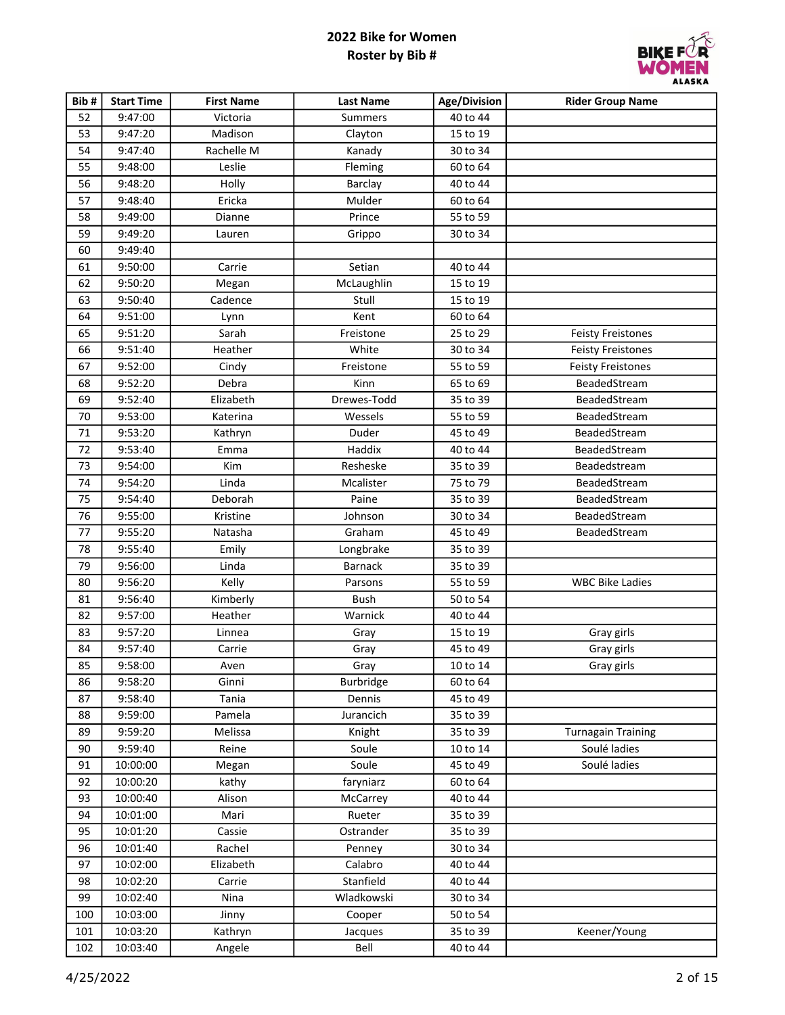

| Bib# | <b>Start Time</b> | <b>First Name</b> | <b>Last Name</b> | Age/Division | <b>Rider Group Name</b>   |
|------|-------------------|-------------------|------------------|--------------|---------------------------|
| 52   | 9:47:00           | Victoria          | Summers          | 40 to 44     |                           |
| 53   | 9:47:20           | Madison           | Clayton          | 15 to 19     |                           |
| 54   | 9:47:40           | Rachelle M        | Kanady           | 30 to 34     |                           |
| 55   | 9:48:00           | Leslie            | Fleming          | 60 to 64     |                           |
| 56   | 9:48:20           | Holly             | Barclay          | 40 to 44     |                           |
| 57   | 9:48:40           | Ericka            | Mulder           | 60 to 64     |                           |
| 58   | 9:49:00           | Dianne            | Prince           | 55 to 59     |                           |
| 59   | 9:49:20           | Lauren            | Grippo           | 30 to 34     |                           |
| 60   | 9:49:40           |                   |                  |              |                           |
| 61   | 9:50:00           | Carrie            | Setian           | 40 to 44     |                           |
| 62   | 9:50:20           | Megan             | McLaughlin       | 15 to 19     |                           |
| 63   | 9:50:40           | Cadence           | Stull            | 15 to 19     |                           |
| 64   | 9:51:00           | Lynn              | Kent             | 60 to 64     |                           |
| 65   | 9:51:20           | Sarah             | Freistone        | 25 to 29     | <b>Feisty Freistones</b>  |
| 66   | 9:51:40           | Heather           | White            | 30 to 34     | <b>Feisty Freistones</b>  |
| 67   | 9:52:00           | Cindy             | Freistone        | 55 to 59     | <b>Feisty Freistones</b>  |
| 68   | 9:52:20           | Debra             | Kinn             | 65 to 69     | BeadedStream              |
| 69   | 9:52:40           | Elizabeth         | Drewes-Todd      | 35 to 39     | BeadedStream              |
| 70   | 9:53:00           | Katerina          | Wessels          | 55 to 59     | BeadedStream              |
| 71   | 9:53:20           | Kathryn           | Duder            | 45 to 49     | BeadedStream              |
| 72   | 9:53:40           | Emma              | Haddix           | 40 to 44     | BeadedStream              |
| 73   | 9:54:00           | Kim               | Resheske         | 35 to 39     | Beadedstream              |
| 74   | 9:54:20           | Linda             | Mcalister        | 75 to 79     | BeadedStream              |
| 75   | 9:54:40           | Deborah           | Paine            | 35 to 39     | BeadedStream              |
| 76   | 9:55:00           | Kristine          | Johnson          | 30 to 34     | BeadedStream              |
| 77   | 9:55:20           | Natasha           | Graham           | 45 to 49     | BeadedStream              |
| 78   | 9:55:40           | Emily             | Longbrake        | 35 to 39     |                           |
| 79   | 9:56:00           | Linda             | <b>Barnack</b>   | 35 to 39     |                           |
| 80   | 9:56:20           | Kelly             | Parsons          | 55 to 59     | <b>WBC Bike Ladies</b>    |
| 81   | 9:56:40           | Kimberly          | Bush             | 50 to 54     |                           |
| 82   | 9:57:00           | Heather           | Warnick          | 40 to 44     |                           |
| 83   | 9:57:20           | Linnea            | Gray             | 15 to 19     | Gray girls                |
| 84   | 9:57:40           | Carrie            | Gray             | 45 to 49     | Gray girls                |
| 85   | 9:58:00           | Aven              | Gray             | 10 to 14     | Gray girls                |
| 86   | 9:58:20           | Ginni             | <b>Burbridge</b> | 60 to 64     |                           |
| 87   | 9:58:40           | Tania             | Dennis           | 45 to 49     |                           |
| 88   | 9:59:00           | Pamela            | Jurancich        | 35 to 39     |                           |
| 89   | 9:59:20           | Melissa           | Knight           | 35 to 39     | <b>Turnagain Training</b> |
| 90   | 9:59:40           | Reine             | Soule            | 10 to 14     | Soulé ladies              |
| 91   | 10:00:00          | Megan             | Soule            | 45 to 49     | Soulé ladies              |
| 92   | 10:00:20          | kathy             | faryniarz        | 60 to 64     |                           |
| 93   | 10:00:40          | Alison            | McCarrey         | 40 to 44     |                           |
| 94   | 10:01:00          | Mari              | Rueter           | 35 to 39     |                           |
| 95   | 10:01:20          | Cassie            | Ostrander        | 35 to 39     |                           |
| 96   | 10:01:40          | Rachel            | Penney           | 30 to 34     |                           |
| 97   | 10:02:00          | Elizabeth         | Calabro          | 40 to 44     |                           |
| 98   | 10:02:20          | Carrie            | Stanfield        | 40 to 44     |                           |
| 99   | 10:02:40          | Nina              | Wladkowski       | 30 to 34     |                           |
| 100  | 10:03:00          | Jinny             | Cooper           | 50 to 54     |                           |
| 101  | 10:03:20          | Kathryn           | Jacques          | 35 to 39     | Keener/Young              |
| 102  | 10:03:40          | Angele            | Bell             | 40 to 44     |                           |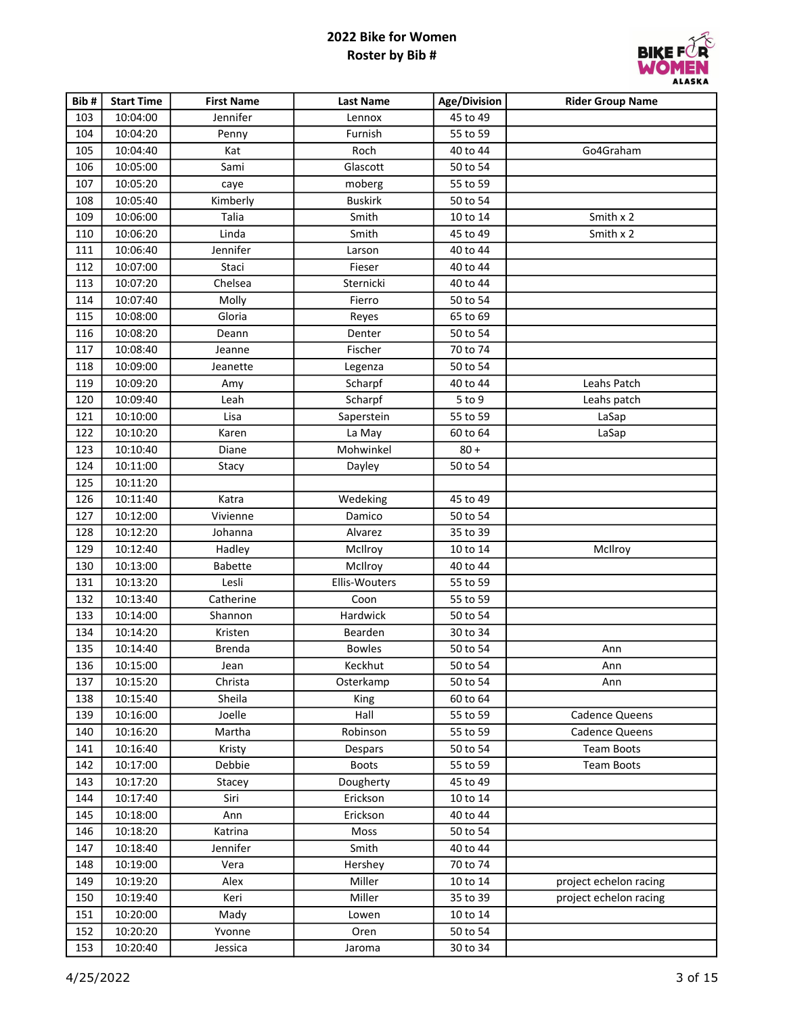

| Bib# | <b>Start Time</b> | <b>First Name</b> | <b>Last Name</b> | Age/Division | <b>Rider Group Name</b> |
|------|-------------------|-------------------|------------------|--------------|-------------------------|
| 103  | 10:04:00          | Jennifer          | Lennox           | 45 to 49     |                         |
| 104  | 10:04:20          | Penny             | Furnish          | 55 to 59     |                         |
| 105  | 10:04:40          | Kat               | Roch             | 40 to 44     | Go4Graham               |
| 106  | 10:05:00          | Sami              | Glascott         | 50 to 54     |                         |
| 107  | 10:05:20          | caye              | moberg           | 55 to 59     |                         |
| 108  | 10:05:40          | Kimberly          | <b>Buskirk</b>   | 50 to 54     |                         |
| 109  | 10:06:00          | Talia             | Smith            | 10 to 14     | Smith x 2               |
| 110  | 10:06:20          | Linda             | Smith            | 45 to 49     | Smith x 2               |
| 111  | 10:06:40          | Jennifer          | Larson           | 40 to 44     |                         |
| 112  | 10:07:00          | Staci             | Fieser           | 40 to 44     |                         |
| 113  | 10:07:20          | Chelsea           | Sternicki        | 40 to 44     |                         |
| 114  | 10:07:40          | Molly             | Fierro           | 50 to 54     |                         |
| 115  | 10:08:00          | Gloria            | Reyes            | 65 to 69     |                         |
| 116  | 10:08:20          | Deann             | Denter           | 50 to 54     |                         |
| 117  | 10:08:40          | Jeanne            | Fischer          | 70 to 74     |                         |
| 118  | 10:09:00          | Jeanette          | Legenza          | 50 to 54     |                         |
| 119  | 10:09:20          | Amy               | Scharpf          | 40 to 44     | Leahs Patch             |
| 120  | 10:09:40          | Leah              | Scharpf          | 5 to 9       | Leahs patch             |
| 121  | 10:10:00          | Lisa              | Saperstein       | 55 to 59     | LaSap                   |
| 122  | 10:10:20          | Karen             | La May           | 60 to 64     | LaSap                   |
| 123  | 10:10:40          | Diane             | Mohwinkel        | $80 +$       |                         |
| 124  | 10:11:00          | Stacy             | Dayley           | 50 to 54     |                         |
| 125  | 10:11:20          |                   |                  |              |                         |
| 126  | 10:11:40          | Katra             | Wedeking         | 45 to 49     |                         |
| 127  | 10:12:00          | Vivienne          | Damico           | 50 to 54     |                         |
| 128  | 10:12:20          | Johanna           | Alvarez          | 35 to 39     |                         |
| 129  | 10:12:40          | Hadley            | McIlroy          | 10 to 14     | McIlroy                 |
| 130  | 10:13:00          | <b>Babette</b>    | McIlroy          | 40 to 44     |                         |
| 131  | 10:13:20          | Lesli             | Ellis-Wouters    | 55 to 59     |                         |
| 132  | 10:13:40          | Catherine         | Coon             | 55 to 59     |                         |
| 133  | 10:14:00          | Shannon           | Hardwick         | 50 to 54     |                         |
| 134  | 10:14:20          | Kristen           | Bearden          | 30 to 34     |                         |
| 135  | 10:14:40          | Brenda            | <b>Bowles</b>    | 50 to 54     | Ann                     |
| 136  | 10:15:00          | Jean              | Keckhut          | 50 to 54     | Ann                     |
| 137  | 10:15:20          | Christa           | Osterkamp        | 50 to 54     | Ann                     |
| 138  | 10:15:40          | Sheila            | King             | 60 to 64     |                         |
| 139  | 10:16:00          | Joelle            | Hall             | 55 to 59     | Cadence Queens          |
| 140  | 10:16:20          | Martha            | Robinson         | 55 to 59     | <b>Cadence Queens</b>   |
| 141  | 10:16:40          | Kristy            | Despars          | 50 to 54     | <b>Team Boots</b>       |
| 142  | 10:17:00          | Debbie            | <b>Boots</b>     | 55 to 59     | <b>Team Boots</b>       |
| 143  | 10:17:20          | Stacey            | Dougherty        | 45 to 49     |                         |
| 144  | 10:17:40          | Siri              | Erickson         | 10 to 14     |                         |
| 145  | 10:18:00          | Ann               | Erickson         | 40 to 44     |                         |
| 146  | 10:18:20          | Katrina           | Moss             | 50 to 54     |                         |
| 147  | 10:18:40          | Jennifer          | Smith            | 40 to 44     |                         |
| 148  | 10:19:00          | Vera              | Hershey          | 70 to 74     |                         |
| 149  | 10:19:20          | Alex              | Miller           | 10 to 14     | project echelon racing  |
| 150  | 10:19:40          | Keri              | Miller           | 35 to 39     | project echelon racing  |
| 151  | 10:20:00          | Mady              | Lowen            | 10 to 14     |                         |
| 152  | 10:20:20          | Yvonne            | Oren             | 50 to 54     |                         |
| 153  | 10:20:40          | Jessica           | Jaroma           | 30 to 34     |                         |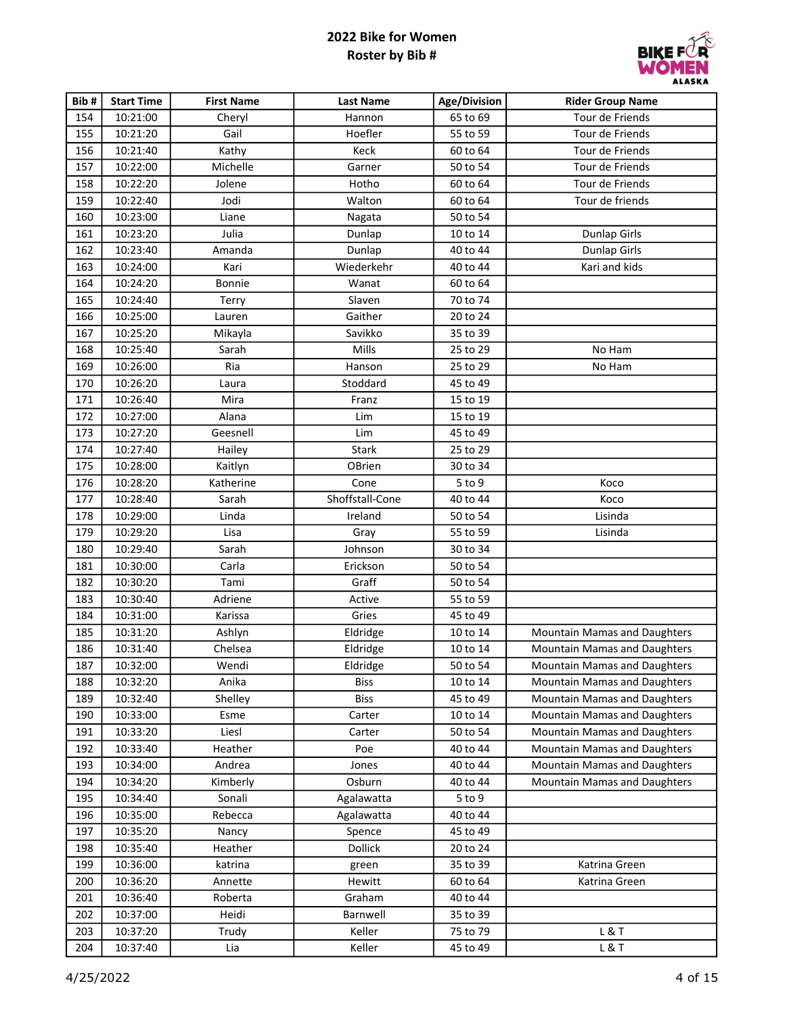

| Bib# | <b>Start Time</b> | <b>First Name</b> | <b>Last Name</b> | <b>Age/Division</b> | <b>Rider Group Name</b>             |
|------|-------------------|-------------------|------------------|---------------------|-------------------------------------|
| 154  | 10:21:00          | Cheryl            | Hannon           | 65 to 69            | Tour de Friends                     |
| 155  | 10:21:20          | Gail              | Hoefler          | 55 to 59            | Tour de Friends                     |
| 156  | 10:21:40          | Kathy             | Keck             | 60 to 64            | Tour de Friends                     |
| 157  | 10:22:00          | Michelle          | Garner           | 50 to 54            | Tour de Friends                     |
| 158  | 10:22:20          | Jolene            | Hotho            | 60 to 64            | Tour de Friends                     |
| 159  | 10:22:40          | Jodi              | Walton           | 60 to 64            | Tour de friends                     |
| 160  | 10:23:00          | Liane             | Nagata           | 50 to 54            |                                     |
| 161  | 10:23:20          | Julia             | Dunlap           | 10 to 14            | Dunlap Girls                        |
| 162  | 10:23:40          | Amanda            | Dunlap           | 40 to 44            | <b>Dunlap Girls</b>                 |
| 163  | 10:24:00          | Kari              | Wiederkehr       | 40 to 44            | Kari and kids                       |
| 164  | 10:24:20          | Bonnie            | Wanat            | 60 to 64            |                                     |
| 165  | 10:24:40          | Terry             | Slaven           | 70 to 74            |                                     |
| 166  | 10:25:00          | Lauren            | Gaither          | 20 to 24            |                                     |
| 167  | 10:25:20          | Mikayla           | Savikko          | 35 to 39            |                                     |
| 168  | 10:25:40          | Sarah             | Mills            | 25 to 29            | No Ham                              |
| 169  | 10:26:00          | Ria               | Hanson           | 25 to 29            | No Ham                              |
| 170  | 10:26:20          | Laura             | Stoddard         | 45 to 49            |                                     |
| 171  | 10:26:40          | Mira              | Franz            | 15 to 19            |                                     |
| 172  | 10:27:00          | Alana             | Lim              | 15 to 19            |                                     |
| 173  | 10:27:20          | Geesnell          | Lim              | 45 to 49            |                                     |
| 174  | 10:27:40          | Hailey            | <b>Stark</b>     | 25 to 29            |                                     |
| 175  | 10:28:00          | Kaitlyn           | OBrien           | 30 to 34            |                                     |
| 176  | 10:28:20          | Katherine         | Cone             | 5 to 9              | Koco                                |
| 177  | 10:28:40          | Sarah             | Shoffstall-Cone  | 40 to 44            | Koco                                |
| 178  | 10:29:00          | Linda             | Ireland          | 50 to 54            | Lisinda                             |
| 179  | 10:29:20          | Lisa              | Gray             | 55 to 59            | Lisinda                             |
| 180  | 10:29:40          | Sarah             | Johnson          | 30 to 34            |                                     |
| 181  | 10:30:00          | Carla             | Erickson         | 50 to 54            |                                     |
| 182  | 10:30:20          | Tami              | Graff            | 50 to 54            |                                     |
| 183  | 10:30:40          | Adriene           | Active           | 55 to 59            |                                     |
| 184  | 10:31:00          | Karissa           | Gries            | 45 to 49            |                                     |
| 185  | 10:31:20          | Ashlyn            | Eldridge         | 10 to 14            | <b>Mountain Mamas and Daughters</b> |
| 186  | 10:31:40          | Chelsea           | Eldridge         | 10 to 14            | <b>Mountain Mamas and Daughters</b> |
| 187  | 10:32:00          | Wendi             | Eldridge         | 50 to 54            | Mountain Mamas and Daughters        |
| 188  | 10:32:20          | Anika             | <b>Biss</b>      | 10 to 14            | Mountain Mamas and Daughters        |
| 189  | 10:32:40          | Shelley           | <b>Biss</b>      | 45 to 49            | Mountain Mamas and Daughters        |
| 190  | 10:33:00          | Esme              | Carter           | 10 to 14            | Mountain Mamas and Daughters        |
| 191  | 10:33:20          | Liesl             | Carter           | 50 to 54            | <b>Mountain Mamas and Daughters</b> |
| 192  | 10:33:40          | Heather           | Poe              | 40 to 44            | Mountain Mamas and Daughters        |
| 193  | 10:34:00          | Andrea            | Jones            | 40 to 44            | Mountain Mamas and Daughters        |
| 194  | 10:34:20          | Kimberly          | Osburn           | 40 to 44            | <b>Mountain Mamas and Daughters</b> |
| 195  | 10:34:40          | Sonali            | Agalawatta       | $5$ to $9$          |                                     |
| 196  | 10:35:00          | Rebecca           | Agalawatta       | 40 to 44            |                                     |
| 197  | 10:35:20          | Nancy             | Spence           | 45 to 49            |                                     |
| 198  | 10:35:40          | Heather           | Dollick          | 20 to 24            |                                     |
| 199  | 10:36:00          | katrina           | green            | 35 to 39            | Katrina Green                       |
| 200  | 10:36:20          | Annette           | Hewitt           | 60 to 64            | Katrina Green                       |
| 201  | 10:36:40          | Roberta           | Graham           | 40 to 44            |                                     |
| 202  | 10:37:00          | Heidi             | Barnwell         | 35 to 39            |                                     |
| 203  | 10:37:20          | Trudy             | Keller           | 75 to 79            | L&T                                 |
| 204  | 10:37:40          | Lia               | Keller           | 45 to 49            | L&T                                 |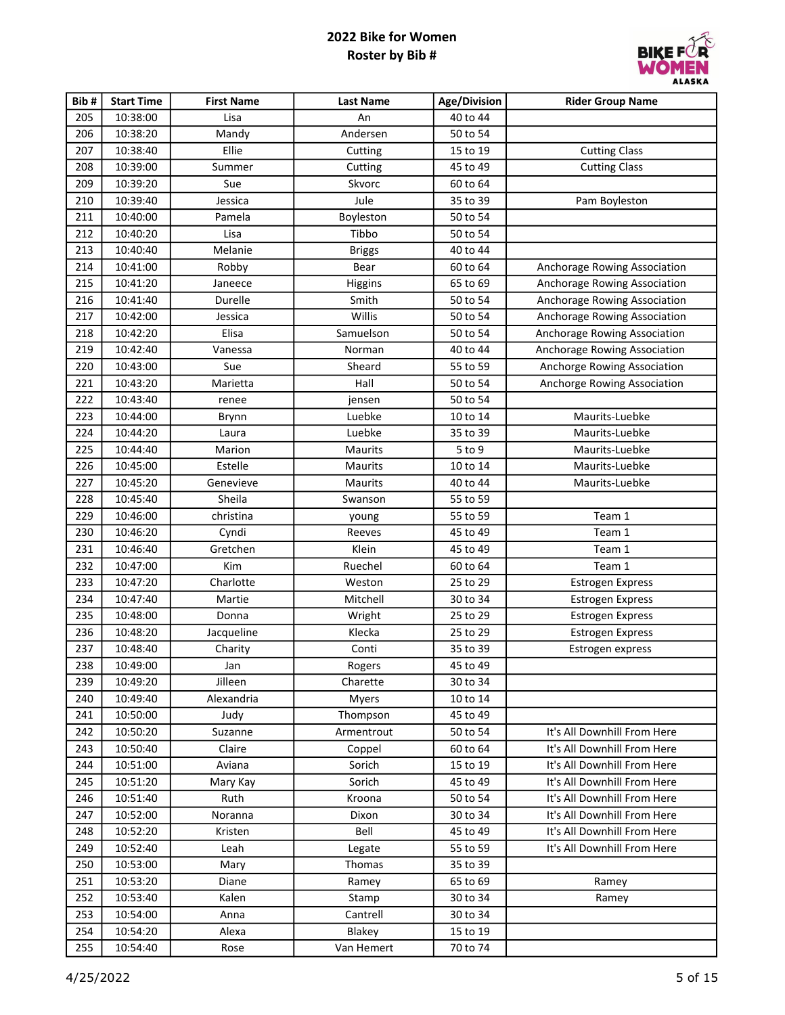

| Bib# | <b>Start Time</b> | <b>First Name</b> | <b>Last Name</b> | Age/Division | <b>Rider Group Name</b>      |
|------|-------------------|-------------------|------------------|--------------|------------------------------|
| 205  | 10:38:00          | Lisa              | An               | 40 to 44     |                              |
| 206  | 10:38:20          | Mandy             | Andersen         | 50 to 54     |                              |
| 207  | 10:38:40          | Ellie             | Cutting          | 15 to 19     | <b>Cutting Class</b>         |
| 208  | 10:39:00          | Summer            | Cutting          | 45 to 49     | <b>Cutting Class</b>         |
| 209  | 10:39:20          | Sue               | Skvorc           | 60 to 64     |                              |
| 210  | 10:39:40          | Jessica           | Jule             | 35 to 39     | Pam Boyleston                |
| 211  | 10:40:00          | Pamela            | Boyleston        | 50 to 54     |                              |
| 212  | 10:40:20          | Lisa              | Tibbo            | 50 to 54     |                              |
| 213  | 10:40:40          | Melanie           | <b>Briggs</b>    | 40 to 44     |                              |
| 214  | 10:41:00          | Robby             | Bear             | 60 to 64     | Anchorage Rowing Association |
| 215  | 10:41:20          | Janeece           | Higgins          | 65 to 69     | Anchorage Rowing Association |
| 216  | 10:41:40          | Durelle           | Smith            | 50 to 54     | Anchorage Rowing Association |
| 217  | 10:42:00          | Jessica           | Willis           | 50 to 54     | Anchorage Rowing Association |
| 218  | 10:42:20          | Elisa             | Samuelson        | 50 to 54     | Anchorage Rowing Association |
| 219  | 10:42:40          | Vanessa           | Norman           | 40 to 44     | Anchorage Rowing Association |
| 220  | 10:43:00          | Sue               | Sheard           | 55 to 59     | Anchorge Rowing Association  |
| 221  | 10:43:20          | Marietta          | Hall             | 50 to 54     | Anchorge Rowing Association  |
| 222  | 10:43:40          | renee             | jensen           | 50 to 54     |                              |
| 223  | 10:44:00          | Brynn             | Luebke           | 10 to 14     | Maurits-Luebke               |
| 224  | 10:44:20          | Laura             | Luebke           | 35 to 39     | Maurits-Luebke               |
| 225  | 10:44:40          | Marion            | Maurits          | 5 to 9       | Maurits-Luebke               |
| 226  | 10:45:00          | Estelle           | Maurits          | 10 to 14     | Maurits-Luebke               |
| 227  | 10:45:20          | Genevieve         | Maurits          | 40 to 44     | Maurits-Luebke               |
| 228  | 10:45:40          | Sheila            | Swanson          | 55 to 59     |                              |
| 229  | 10:46:00          | christina         | young            | 55 to 59     | Team 1                       |
| 230  | 10:46:20          | Cyndi             | Reeves           | 45 to 49     | Team 1                       |
| 231  | 10:46:40          | Gretchen          | Klein            | 45 to 49     | Team 1                       |
| 232  | 10:47:00          | Kim               | Ruechel          | 60 to 64     | Team 1                       |
| 233  | 10:47:20          | Charlotte         | Weston           | 25 to 29     | Estrogen Express             |
| 234  | 10:47:40          | Martie            | Mitchell         | 30 to 34     | Estrogen Express             |
| 235  | 10:48:00          | Donna             | Wright           | 25 to 29     | Estrogen Express             |
| 236  | 10:48:20          | Jacqueline        | Klecka           | 25 to 29     | Estrogen Express             |
| 237  | 10:48:40          | Charity           | Conti            | 35 to 39     | Estrogen express             |
| 238  | 10:49:00          | Jan               | Rogers           | 45 to 49     |                              |
| 239  | 10:49:20          | Jilleen           | Charette         | 30 to 34     |                              |
| 240  | 10:49:40          | Alexandria        | <b>Myers</b>     | 10 to 14     |                              |
| 241  | 10:50:00          | Judy              | Thompson         | 45 to 49     |                              |
| 242  | 10:50:20          | Suzanne           | Armentrout       | 50 to 54     | It's All Downhill From Here  |
| 243  | 10:50:40          | Claire            | Coppel           | 60 to 64     | It's All Downhill From Here  |
| 244  | 10:51:00          | Aviana            | Sorich           | 15 to 19     | It's All Downhill From Here  |
| 245  | 10:51:20          | Mary Kay          | Sorich           | 45 to 49     | It's All Downhill From Here  |
| 246  | 10:51:40          | Ruth              | Kroona           | 50 to 54     | It's All Downhill From Here  |
| 247  | 10:52:00          | Noranna           | Dixon            | 30 to 34     | It's All Downhill From Here  |
| 248  | 10:52:20          | Kristen           | Bell             | 45 to 49     | It's All Downhill From Here  |
| 249  | 10:52:40          | Leah              | Legate           | 55 to 59     | It's All Downhill From Here  |
| 250  | 10:53:00          | Mary              | Thomas           | 35 to 39     |                              |
| 251  | 10:53:20          | Diane             | Ramey            | 65 to 69     | Ramey                        |
| 252  | 10:53:40          | Kalen             | Stamp            | 30 to 34     | Ramey                        |
| 253  | 10:54:00          | Anna              | Cantrell         | 30 to 34     |                              |
| 254  | 10:54:20          | Alexa             | Blakey           | 15 to 19     |                              |
| 255  | 10:54:40          | Rose              | Van Hemert       | 70 to 74     |                              |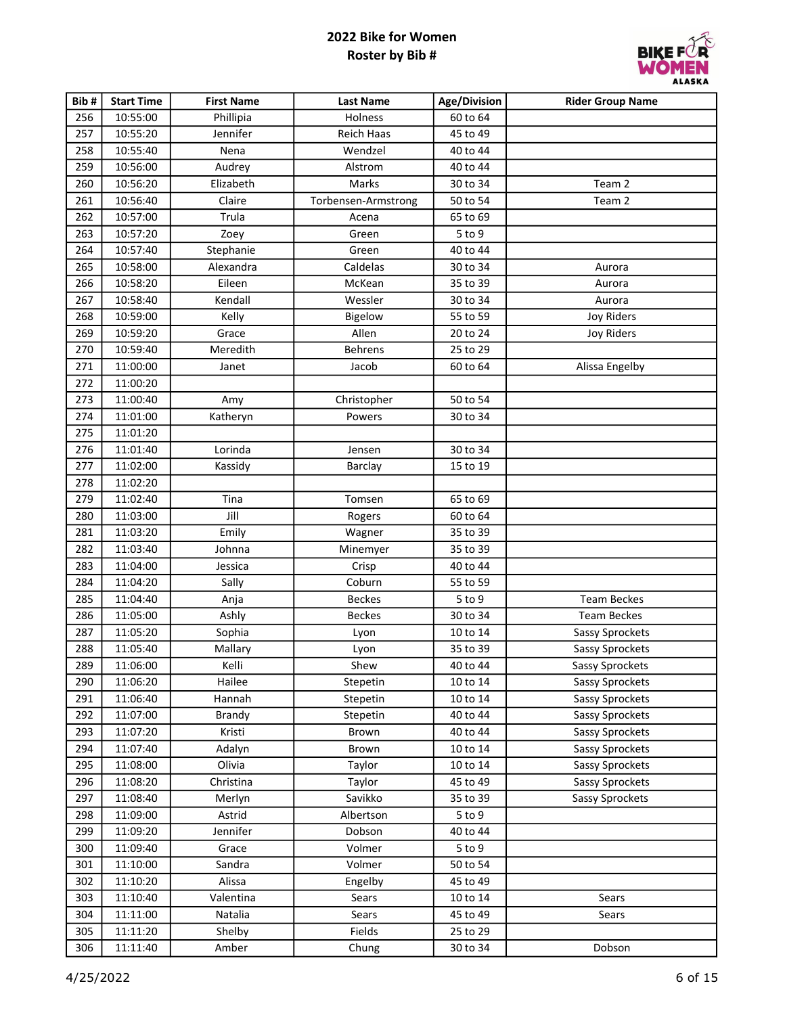

| Bib# | <b>Start Time</b> | <b>First Name</b> | <b>Last Name</b>    | Age/Division | <b>Rider Group Name</b> |
|------|-------------------|-------------------|---------------------|--------------|-------------------------|
| 256  | 10:55:00          | Phillipia         | Holness             | 60 to 64     |                         |
| 257  | 10:55:20          | Jennifer          | Reich Haas          | 45 to 49     |                         |
| 258  | 10:55:40          | Nena              | Wendzel             | 40 to 44     |                         |
| 259  | 10:56:00          | Audrey            | Alstrom             | 40 to 44     |                         |
| 260  | 10:56:20          | Elizabeth         | Marks               | 30 to 34     | Team 2                  |
| 261  | 10:56:40          | Claire            | Torbensen-Armstrong | 50 to 54     | Team 2                  |
| 262  | 10:57:00          | Trula             | Acena               | 65 to 69     |                         |
| 263  | 10:57:20          | Zoey              | Green               | 5 to 9       |                         |
| 264  | 10:57:40          | Stephanie         | Green               | 40 to 44     |                         |
| 265  | 10:58:00          | Alexandra         | Caldelas            | 30 to 34     | Aurora                  |
| 266  | 10:58:20          | Eileen            | McKean              | 35 to 39     | Aurora                  |
| 267  | 10:58:40          | Kendall           | Wessler             | 30 to 34     | Aurora                  |
| 268  | 10:59:00          | Kelly             | Bigelow             | 55 to 59     | <b>Joy Riders</b>       |
| 269  | 10:59:20          | Grace             | Allen               | 20 to 24     | <b>Joy Riders</b>       |
| 270  | 10:59:40          | Meredith          | Behrens             | 25 to 29     |                         |
| 271  | 11:00:00          | Janet             | Jacob               | 60 to 64     | Alissa Engelby          |
| 272  | 11:00:20          |                   |                     |              |                         |
| 273  | 11:00:40          | Amy               | Christopher         | 50 to 54     |                         |
| 274  | 11:01:00          | Katheryn          | Powers              | 30 to 34     |                         |
| 275  | 11:01:20          |                   |                     |              |                         |
| 276  | 11:01:40          | Lorinda           | Jensen              | 30 to 34     |                         |
| 277  | 11:02:00          | Kassidy           | Barclay             | 15 to 19     |                         |
| 278  | 11:02:20          |                   |                     |              |                         |
| 279  | 11:02:40          | Tina              | Tomsen              | 65 to 69     |                         |
| 280  | 11:03:00          | Jill              | Rogers              | 60 to 64     |                         |
| 281  | 11:03:20          | Emily             | Wagner              | 35 to 39     |                         |
| 282  | 11:03:40          | Johnna            | Minemyer            | 35 to 39     |                         |
| 283  | 11:04:00          | Jessica           | Crisp               | 40 to 44     |                         |
| 284  | 11:04:20          | Sally             | Coburn              | 55 to 59     |                         |
| 285  | 11:04:40          | Anja              | <b>Beckes</b>       | 5 to 9       | <b>Team Beckes</b>      |
| 286  | 11:05:00          | Ashly             | <b>Beckes</b>       | 30 to 34     | <b>Team Beckes</b>      |
| 287  | 11:05:20          | Sophia            | Lyon                | 10 to 14     | Sassy Sprockets         |
| 288  | 11:05:40          | Mallary           | Lyon                | 35 to 39     | Sassy Sprockets         |
| 289  | 11:06:00          | Kelli             | Shew                | 40 to 44     | Sassy Sprockets         |
| 290  | 11:06:20          | Hailee            | Stepetin            | 10 to 14     | Sassy Sprockets         |
| 291  | 11:06:40          | Hannah            | Stepetin            | 10 to 14     | Sassy Sprockets         |
| 292  | 11:07:00          | <b>Brandy</b>     | Stepetin            | 40 to 44     | Sassy Sprockets         |
| 293  | 11:07:20          | Kristi            | Brown               | 40 to 44     | Sassy Sprockets         |
| 294  | 11:07:40          | Adalyn            | Brown               | 10 to 14     | Sassy Sprockets         |
| 295  | 11:08:00          | Olivia            | Taylor              | 10 to 14     | Sassy Sprockets         |
| 296  | 11:08:20          | Christina         | Taylor              | 45 to 49     | Sassy Sprockets         |
| 297  | 11:08:40          | Merlyn            | Savikko             | 35 to 39     | Sassy Sprockets         |
| 298  | 11:09:00          | Astrid            | Albertson           | $5$ to $9$   |                         |
| 299  | 11:09:20          | Jennifer          | Dobson              | 40 to 44     |                         |
| 300  | 11:09:40          | Grace             | Volmer              | $5$ to $9$   |                         |
| 301  | 11:10:00          | Sandra            | Volmer              | 50 to 54     |                         |
| 302  | 11:10:20          | Alissa            | Engelby             | 45 to 49     |                         |
| 303  | 11:10:40          | Valentina         | Sears               | 10 to 14     | Sears                   |
| 304  | 11:11:00          | Natalia           | Sears               | 45 to 49     | Sears                   |
| 305  | 11:11:20          | Shelby            | Fields              | 25 to 29     |                         |
| 306  | 11:11:40          | Amber             | Chung               | 30 to 34     | Dobson                  |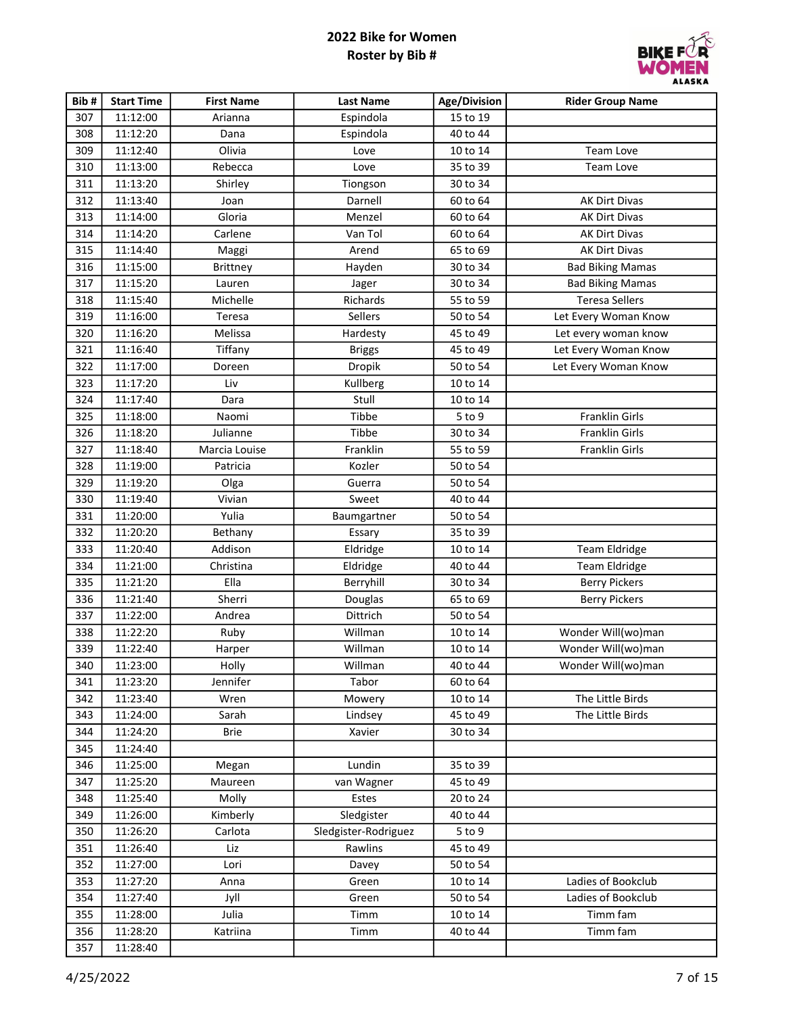

| Bib# | <b>Start Time</b> | <b>First Name</b> | <b>Last Name</b>     | Age/Division | <b>Rider Group Name</b> |
|------|-------------------|-------------------|----------------------|--------------|-------------------------|
| 307  | 11:12:00          | Arianna           | Espindola            | 15 to 19     |                         |
| 308  | 11:12:20          | Dana              | Espindola            | 40 to 44     |                         |
| 309  | 11:12:40          | Olivia            | Love                 | 10 to 14     | Team Love               |
| 310  | 11:13:00          | Rebecca           | Love                 | 35 to 39     | Team Love               |
| 311  | 11:13:20          | Shirley           | Tiongson             | 30 to 34     |                         |
| 312  | 11:13:40          | Joan              | Darnell              | 60 to 64     | AK Dirt Divas           |
| 313  | 11:14:00          | Gloria            | Menzel               | 60 to 64     | <b>AK Dirt Divas</b>    |
| 314  | 11:14:20          | Carlene           | Van Tol              | 60 to 64     | AK Dirt Divas           |
| 315  | 11:14:40          | Maggi             | Arend                | 65 to 69     | AK Dirt Divas           |
| 316  | 11:15:00          | <b>Brittney</b>   | Hayden               | 30 to 34     | <b>Bad Biking Mamas</b> |
| 317  | 11:15:20          | Lauren            | Jager                | 30 to 34     | <b>Bad Biking Mamas</b> |
| 318  | 11:15:40          | Michelle          | Richards             | 55 to 59     | <b>Teresa Sellers</b>   |
| 319  | 11:16:00          | Teresa            | Sellers              | 50 to 54     | Let Every Woman Know    |
| 320  | 11:16:20          | Melissa           | Hardesty             | 45 to 49     | Let every woman know    |
| 321  | 11:16:40          | Tiffany           | <b>Briggs</b>        | 45 to 49     | Let Every Woman Know    |
| 322  | 11:17:00          | Doreen            | Dropik               | 50 to 54     | Let Every Woman Know    |
| 323  | 11:17:20          | Liv               | Kullberg             | 10 to 14     |                         |
| 324  | 11:17:40          | Dara              | Stull                | 10 to 14     |                         |
| 325  | 11:18:00          | Naomi             | Tibbe                | 5 to 9       | Franklin Girls          |
| 326  | 11:18:20          | Julianne          | Tibbe                | 30 to 34     | Franklin Girls          |
| 327  | 11:18:40          | Marcia Louise     | Franklin             | 55 to 59     | Franklin Girls          |
| 328  | 11:19:00          | Patricia          | Kozler               | 50 to 54     |                         |
| 329  | 11:19:20          | Olga              | Guerra               | 50 to 54     |                         |
| 330  | 11:19:40          | Vivian            | Sweet                | 40 to 44     |                         |
| 331  | 11:20:00          | Yulia             | Baumgartner          | 50 to 54     |                         |
| 332  | 11:20:20          | Bethany           | Essary               | 35 to 39     |                         |
| 333  | 11:20:40          | Addison           | Eldridge             | 10 to 14     | <b>Team Eldridge</b>    |
| 334  | 11:21:00          | Christina         | Eldridge             | 40 to 44     | <b>Team Eldridge</b>    |
| 335  | 11:21:20          | Ella              | Berryhill            | 30 to 34     | <b>Berry Pickers</b>    |
| 336  | 11:21:40          | Sherri            | Douglas              | 65 to 69     | <b>Berry Pickers</b>    |
| 337  | 11:22:00          | Andrea            | Dittrich             | 50 to 54     |                         |
| 338  | 11:22:20          | Ruby              | Willman              | 10 to 14     | Wonder Will(wo)man      |
| 339  | 11:22:40          | Harper            | Willman              | 10 to 14     | Wonder Will(wo)man      |
| 340  | 11:23:00          | Holly             | Willman              | 40 to 44     | Wonder Will(wo)man      |
| 341  | 11:23:20          | Jennifer          | Tabor                | 60 to 64     |                         |
| 342  | 11:23:40          | Wren              | Mowery               | 10 to 14     | The Little Birds        |
| 343  | 11:24:00          | Sarah             | Lindsey              | 45 to 49     | The Little Birds        |
| 344  | 11:24:20          | <b>Brie</b>       | Xavier               | 30 to 34     |                         |
| 345  | 11:24:40          |                   |                      |              |                         |
| 346  | 11:25:00          | Megan             | Lundin               | 35 to 39     |                         |
| 347  | 11:25:20          | Maureen           | van Wagner           | 45 to 49     |                         |
| 348  | 11:25:40          | Molly             | Estes                | 20 to 24     |                         |
| 349  | 11:26:00          | Kimberly          | Sledgister           | 40 to 44     |                         |
| 350  | 11:26:20          | Carlota           | Sledgister-Rodriguez | 5 to 9       |                         |
| 351  | 11:26:40          | Liz               | Rawlins              | 45 to 49     |                         |
| 352  | 11:27:00          | Lori              | Davey                | 50 to 54     |                         |
| 353  | 11:27:20          | Anna              | Green                | 10 to 14     | Ladies of Bookclub      |
| 354  | 11:27:40          | Jyll              | Green                | 50 to 54     | Ladies of Bookclub      |
| 355  | 11:28:00          | Julia             | Timm                 | 10 to 14     | Timm fam                |
| 356  | 11:28:20          | Katriina          | Timm                 | 40 to 44     | Timm fam                |
| 357  | 11:28:40          |                   |                      |              |                         |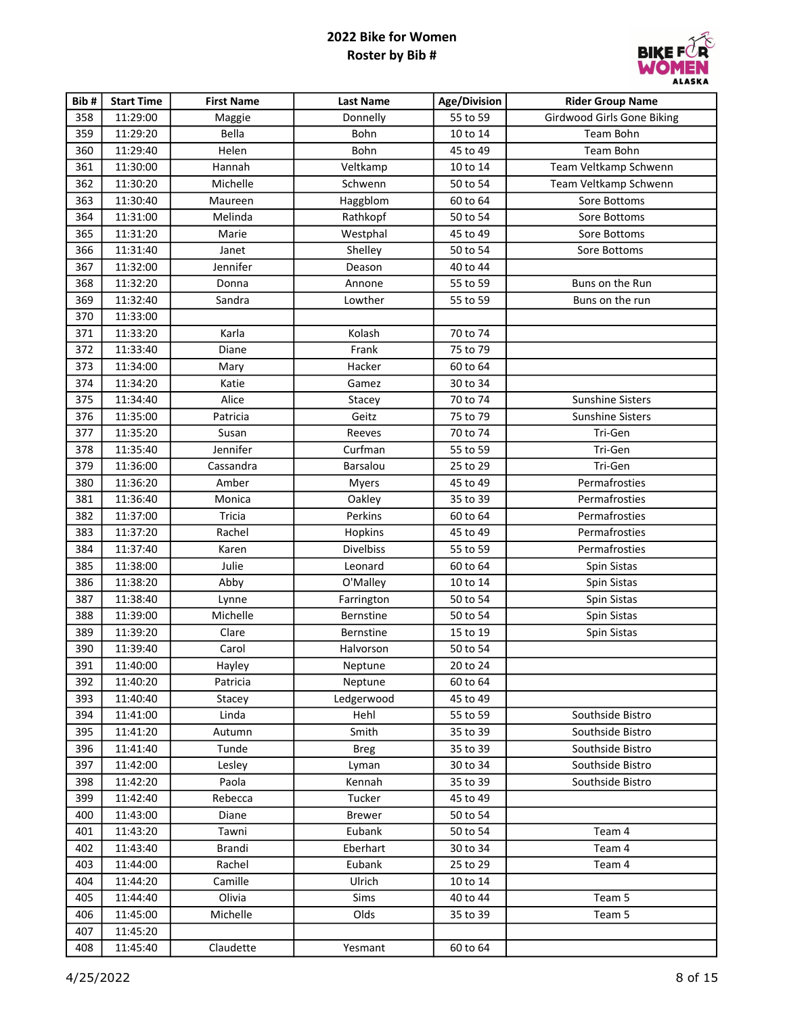

| Bib# | <b>Start Time</b> | <b>First Name</b> | <b>Last Name</b> | Age/Division | <b>Rider Group Name</b>           |
|------|-------------------|-------------------|------------------|--------------|-----------------------------------|
| 358  | 11:29:00          | Maggie            | Donnelly         | 55 to 59     | <b>Girdwood Girls Gone Biking</b> |
| 359  | 11:29:20          | Bella             | Bohn             | 10 to 14     | Team Bohn                         |
| 360  | 11:29:40          | Helen             | Bohn             | 45 to 49     | Team Bohn                         |
| 361  | 11:30:00          | Hannah            | Veltkamp         | 10 to 14     | Team Veltkamp Schwenn             |
| 362  | 11:30:20          | Michelle          | Schwenn          | 50 to 54     | Team Veltkamp Schwenn             |
| 363  | 11:30:40          | Maureen           | Haggblom         | 60 to 64     | Sore Bottoms                      |
| 364  | 11:31:00          | Melinda           | Rathkopf         | 50 to 54     | Sore Bottoms                      |
| 365  | 11:31:20          | Marie             | Westphal         | 45 to 49     | Sore Bottoms                      |
| 366  | 11:31:40          | Janet             | Shelley          | 50 to 54     | Sore Bottoms                      |
| 367  | 11:32:00          | Jennifer          | Deason           | 40 to 44     |                                   |
| 368  | 11:32:20          | Donna             | Annone           | 55 to 59     | Buns on the Run                   |
| 369  | 11:32:40          | Sandra            | Lowther          | 55 to 59     | Buns on the run                   |
| 370  | 11:33:00          |                   |                  |              |                                   |
| 371  | 11:33:20          | Karla             | Kolash           | 70 to 74     |                                   |
| 372  | 11:33:40          | Diane             | Frank            | 75 to 79     |                                   |
| 373  | 11:34:00          | Mary              | Hacker           | 60 to 64     |                                   |
| 374  | 11:34:20          | Katie             | Gamez            | 30 to 34     |                                   |
| 375  | 11:34:40          | Alice             | Stacey           | 70 to 74     | <b>Sunshine Sisters</b>           |
| 376  | 11:35:00          | Patricia          | Geitz            | 75 to 79     | <b>Sunshine Sisters</b>           |
| 377  | 11:35:20          | Susan             | Reeves           | 70 to 74     | Tri-Gen                           |
| 378  | 11:35:40          | Jennifer          | Curfman          | 55 to 59     | Tri-Gen                           |
| 379  | 11:36:00          | Cassandra         | Barsalou         | 25 to 29     | Tri-Gen                           |
| 380  | 11:36:20          | Amber             | Myers            | 45 to 49     | Permafrosties                     |
| 381  | 11:36:40          | Monica            | Oakley           | 35 to 39     | Permafrosties                     |
| 382  | 11:37:00          | Tricia            | Perkins          | 60 to 64     | Permafrosties                     |
| 383  | 11:37:20          | Rachel            | Hopkins          | 45 to 49     | Permafrosties                     |
| 384  | 11:37:40          | Karen             | <b>Divelbiss</b> | 55 to 59     | Permafrosties                     |
| 385  | 11:38:00          | Julie             | Leonard          | 60 to 64     | Spin Sistas                       |
| 386  | 11:38:20          | Abby              | O'Malley         | 10 to 14     | Spin Sistas                       |
| 387  | 11:38:40          | Lynne             | Farrington       | 50 to 54     | Spin Sistas                       |
| 388  | 11:39:00          | Michelle          | Bernstine        | 50 to 54     | Spin Sistas                       |
| 389  | 11:39:20          | Clare             | Bernstine        | 15 to 19     | Spin Sistas                       |
| 390  | 11:39:40          | Carol             | Halvorson        | 50 to 54     |                                   |
| 391  | 11:40:00          | Hayley            | Neptune          | 20 to 24     |                                   |
| 392  | 11:40:20          | Patricia          | Neptune          | 60 to 64     |                                   |
| 393  | 11:40:40          | Stacey            | Ledgerwood       | 45 to 49     |                                   |
| 394  | 11:41:00          | Linda             | Hehl             | 55 to 59     | Southside Bistro                  |
| 395  | 11:41:20          | Autumn            | Smith            | 35 to 39     | Southside Bistro                  |
| 396  | 11:41:40          | Tunde             | <b>Breg</b>      | 35 to 39     | Southside Bistro                  |
| 397  | 11:42:00          | Lesley            | Lyman            | 30 to 34     | Southside Bistro                  |
| 398  | 11:42:20          | Paola             | Kennah           | 35 to 39     | Southside Bistro                  |
| 399  | 11:42:40          | Rebecca           | Tucker           | 45 to 49     |                                   |
| 400  | 11:43:00          | Diane             | <b>Brewer</b>    | 50 to 54     |                                   |
| 401  | 11:43:20          | Tawni             | Eubank           | 50 to 54     | Team 4                            |
| 402  | 11:43:40          | Brandi            | Eberhart         | 30 to 34     | Team 4                            |
| 403  | 11:44:00          | Rachel            | Eubank           | 25 to 29     | Team 4                            |
| 404  | 11:44:20          | Camille           | Ulrich           | 10 to 14     |                                   |
| 405  | 11:44:40          | Olivia            | Sims             | 40 to 44     | Team 5                            |
| 406  | 11:45:00          | Michelle          | Olds             | 35 to 39     | Team 5                            |
| 407  | 11:45:20          |                   |                  |              |                                   |
| 408  | 11:45:40          | Claudette         | Yesmant          | 60 to 64     |                                   |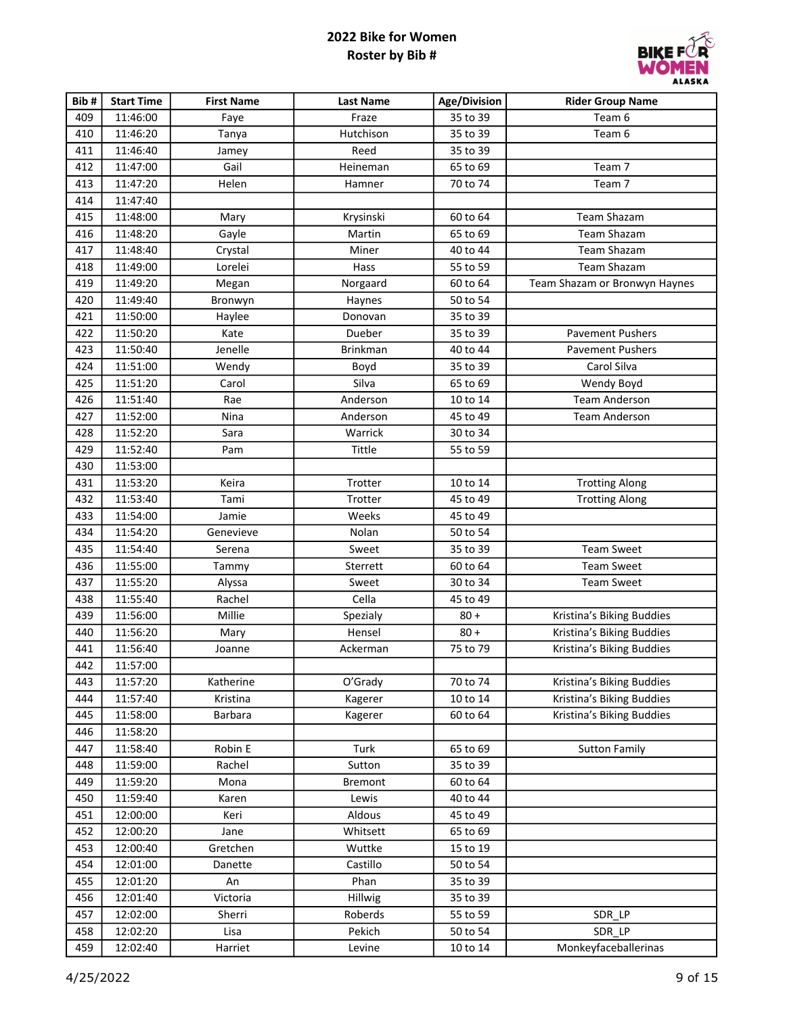

| Bib# | <b>Start Time</b> | <b>First Name</b> | <b>Last Name</b> | Age/Division | <b>Rider Group Name</b>       |
|------|-------------------|-------------------|------------------|--------------|-------------------------------|
| 409  | 11:46:00          | Faye              | Fraze            | 35 to 39     | Team 6                        |
| 410  | 11:46:20          | Tanya             | Hutchison        | 35 to 39     | Team 6                        |
| 411  | 11:46:40          | Jamey             | Reed             | 35 to 39     |                               |
| 412  | 11:47:00          | Gail              | Heineman         | 65 to 69     | Team 7                        |
| 413  | 11:47:20          | Helen             | Hamner           | 70 to 74     | Team 7                        |
| 414  | 11:47:40          |                   |                  |              |                               |
| 415  | 11:48:00          | Mary              | Krysinski        | 60 to 64     | Team Shazam                   |
| 416  | 11:48:20          | Gayle             | Martin           | 65 to 69     | <b>Team Shazam</b>            |
| 417  | 11:48:40          | Crystal           | Miner            | 40 to 44     | <b>Team Shazam</b>            |
| 418  | 11:49:00          | Lorelei           | Hass             | 55 to 59     | <b>Team Shazam</b>            |
| 419  | 11:49:20          | Megan             | Norgaard         | 60 to 64     | Team Shazam or Bronwyn Haynes |
| 420  | 11:49:40          | Bronwyn           | Haynes           | 50 to 54     |                               |
| 421  | 11:50:00          | Haylee            | Donovan          | 35 to 39     |                               |
| 422  | 11:50:20          | Kate              | Dueber           | 35 to 39     | <b>Pavement Pushers</b>       |
| 423  | 11:50:40          | Jenelle           | <b>Brinkman</b>  | 40 to 44     | <b>Pavement Pushers</b>       |
| 424  | 11:51:00          | Wendy             | Boyd             | 35 to 39     | Carol Silva                   |
| 425  | 11:51:20          | Carol             | Silva            | 65 to 69     | Wendy Boyd                    |
| 426  | 11:51:40          | Rae               | Anderson         | 10 to 14     | <b>Team Anderson</b>          |
| 427  | 11:52:00          | Nina              | Anderson         | 45 to 49     | <b>Team Anderson</b>          |
| 428  | 11:52:20          | Sara              | Warrick          | 30 to 34     |                               |
| 429  | 11:52:40          | Pam               | Tittle           | 55 to 59     |                               |
| 430  | 11:53:00          |                   |                  |              |                               |
| 431  | 11:53:20          | Keira             | Trotter          | 10 to 14     | <b>Trotting Along</b>         |
| 432  | 11:53:40          | Tami              | Trotter          | 45 to 49     | <b>Trotting Along</b>         |
| 433  | 11:54:00          | Jamie             | Weeks            | 45 to 49     |                               |
| 434  | 11:54:20          | Genevieve         | Nolan            | 50 to 54     |                               |
| 435  | 11:54:40          | Serena            | Sweet            | 35 to 39     | <b>Team Sweet</b>             |
| 436  | 11:55:00          | Tammy             | Sterrett         | 60 to 64     | <b>Team Sweet</b>             |
| 437  | 11:55:20          | Alyssa            | Sweet            | 30 to 34     | <b>Team Sweet</b>             |
| 438  | 11:55:40          | Rachel            | Cella            | 45 to 49     |                               |
| 439  | 11:56:00          | Millie            | Spezialy         | $80 +$       | Kristina's Biking Buddies     |
| 440  | 11:56:20          | Mary              | Hensel           | $80 +$       | Kristina's Biking Buddies     |
| 441  | 11:56:40          | Joanne            | Ackerman         | 75 to 79     | Kristina's Biking Buddies     |
| 442  | 11:57:00          |                   |                  |              |                               |
| 443  | 11:57:20          | Katherine         | O'Grady          | 70 to 74     | Kristina's Biking Buddies     |
| 444  | 11:57:40          | Kristina          | Kagerer          | 10 to 14     | Kristina's Biking Buddies     |
| 445  | 11:58:00          | Barbara           | Kagerer          | 60 to 64     | Kristina's Biking Buddies     |
| 446  | 11:58:20          |                   |                  |              |                               |
| 447  | 11:58:40          | Robin E           | Turk             | 65 to 69     | <b>Sutton Family</b>          |
| 448  | 11:59:00          | Rachel            | Sutton           | 35 to 39     |                               |
| 449  | 11:59:20          | Mona              | <b>Bremont</b>   | 60 to 64     |                               |
| 450  | 11:59:40          | Karen             | Lewis            | 40 to 44     |                               |
| 451  | 12:00:00          | Keri              | Aldous           | 45 to 49     |                               |
| 452  | 12:00:20          | Jane              | Whitsett         | 65 to 69     |                               |
| 453  | 12:00:40          | Gretchen          | Wuttke           | 15 to 19     |                               |
| 454  | 12:01:00          | Danette           | Castillo         | 50 to 54     |                               |
| 455  | 12:01:20          | An                | Phan             | 35 to 39     |                               |
| 456  | 12:01:40          | Victoria          | Hillwig          | 35 to 39     |                               |
| 457  | 12:02:00          | Sherri            | Roberds          | 55 to 59     | SDR_LP                        |
| 458  | 12:02:20          | Lisa              | Pekich           | 50 to 54     | SDR_LP                        |
| 459  | 12:02:40          | Harriet           | Levine           | 10 to 14     | Monkeyfaceballerinas          |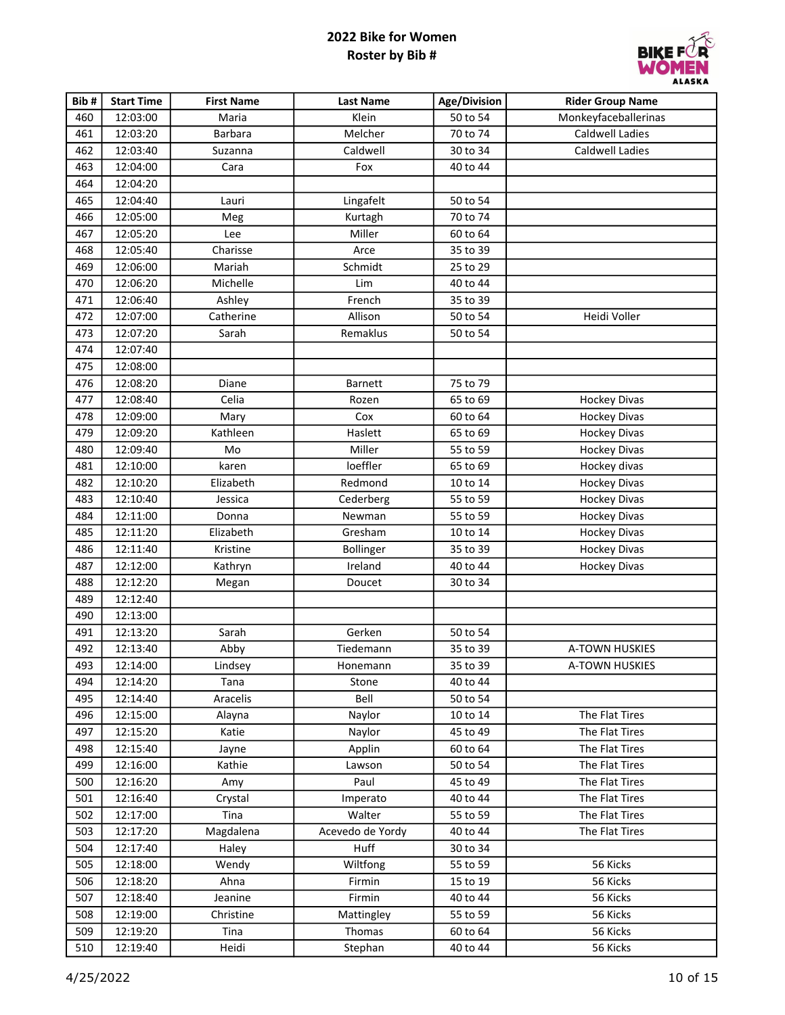

| Bib# | <b>Start Time</b> | <b>First Name</b> | <b>Last Name</b> | Age/Division | <b>Rider Group Name</b> |
|------|-------------------|-------------------|------------------|--------------|-------------------------|
| 460  | 12:03:00          | Maria             | Klein            | 50 to 54     | Monkeyfaceballerinas    |
| 461  | 12:03:20          | Barbara           | Melcher          | 70 to 74     | Caldwell Ladies         |
| 462  | 12:03:40          | Suzanna           | Caldwell         | 30 to 34     | <b>Caldwell Ladies</b>  |
| 463  | 12:04:00          | Cara              | Fox              | 40 to 44     |                         |
| 464  | 12:04:20          |                   |                  |              |                         |
| 465  | 12:04:40          | Lauri             | Lingafelt        | 50 to 54     |                         |
| 466  | 12:05:00          | Meg               | Kurtagh          | 70 to 74     |                         |
| 467  | 12:05:20          | Lee               | Miller           | 60 to 64     |                         |
| 468  | 12:05:40          | Charisse          | Arce             | 35 to 39     |                         |
| 469  | 12:06:00          | Mariah            | Schmidt          | 25 to 29     |                         |
| 470  | 12:06:20          | Michelle          | Lim              | 40 to 44     |                         |
| 471  | 12:06:40          | Ashley            | French           | 35 to 39     |                         |
| 472  | 12:07:00          | Catherine         | Allison          | 50 to 54     | Heidi Voller            |
| 473  | 12:07:20          | Sarah             | Remaklus         | 50 to 54     |                         |
| 474  | 12:07:40          |                   |                  |              |                         |
| 475  | 12:08:00          |                   |                  |              |                         |
| 476  | 12:08:20          | Diane             | Barnett          | 75 to 79     |                         |
| 477  | 12:08:40          | Celia             | Rozen            | 65 to 69     | <b>Hockey Divas</b>     |
| 478  | 12:09:00          | Mary              | Cox              | 60 to 64     | <b>Hockey Divas</b>     |
| 479  | 12:09:20          | Kathleen          | Haslett          | 65 to 69     | <b>Hockey Divas</b>     |
| 480  | 12:09:40          | Mo                | Miller           | 55 to 59     | <b>Hockey Divas</b>     |
| 481  | 12:10:00          | karen             | loeffler         | 65 to 69     | Hockey divas            |
| 482  | 12:10:20          | Elizabeth         | Redmond          | 10 to 14     | Hockey Divas            |
| 483  | 12:10:40          | Jessica           | Cederberg        | 55 to 59     | <b>Hockey Divas</b>     |
| 484  | 12:11:00          | Donna             | Newman           | 55 to 59     | <b>Hockey Divas</b>     |
| 485  | 12:11:20          | Elizabeth         | Gresham          | 10 to 14     | <b>Hockey Divas</b>     |
| 486  | 12:11:40          | Kristine          | Bollinger        | 35 to 39     | <b>Hockey Divas</b>     |
| 487  | 12:12:00          | Kathryn           | Ireland          | 40 to 44     | <b>Hockey Divas</b>     |
| 488  | 12:12:20          | Megan             | Doucet           | 30 to 34     |                         |
| 489  | 12:12:40          |                   |                  |              |                         |
| 490  | 12:13:00          |                   |                  |              |                         |
| 491  | 12:13:20          | Sarah             | Gerken           | 50 to 54     |                         |
| 492  | 12:13:40          | Abby              | Tiedemann        | 35 to 39     | A-TOWN HUSKIES          |
| 493  | 12:14:00          | Lindsey           | Honemann         | 35 to 39     | A-TOWN HUSKIES          |
| 494  | 12:14:20          | Tana              | Stone            | 40 to 44     |                         |
| 495  | 12:14:40          | Aracelis          | Bell             | 50 to 54     |                         |
| 496  | 12:15:00          | Alayna            | Naylor           | 10 to 14     | The Flat Tires          |
| 497  | 12:15:20          | Katie             | Naylor           | 45 to 49     | The Flat Tires          |
| 498  | 12:15:40          | Jayne             | Applin           | 60 to 64     | The Flat Tires          |
| 499  | 12:16:00          | Kathie            | Lawson           | 50 to 54     | The Flat Tires          |
| 500  | 12:16:20          | Amy               | Paul             | 45 to 49     | The Flat Tires          |
| 501  | 12:16:40          | Crystal           | Imperato         | 40 to 44     | The Flat Tires          |
| 502  | 12:17:00          | Tina              | Walter           | 55 to 59     | The Flat Tires          |
| 503  | 12:17:20          | Magdalena         | Acevedo de Yordy | 40 to 44     | The Flat Tires          |
| 504  | 12:17:40          | Haley             | Huff             | 30 to 34     |                         |
| 505  | 12:18:00          | Wendy             | Wiltfong         | 55 to 59     | 56 Kicks                |
| 506  | 12:18:20          | Ahna              | Firmin           | 15 to 19     | 56 Kicks                |
| 507  | 12:18:40          | Jeanine           | Firmin           | 40 to 44     | 56 Kicks                |
| 508  | 12:19:00          | Christine         | Mattingley       | 55 to 59     | 56 Kicks                |
| 509  | 12:19:20          | Tina              | Thomas           | 60 to 64     | 56 Kicks                |
| 510  | 12:19:40          | Heidi             | Stephan          | 40 to 44     | 56 Kicks                |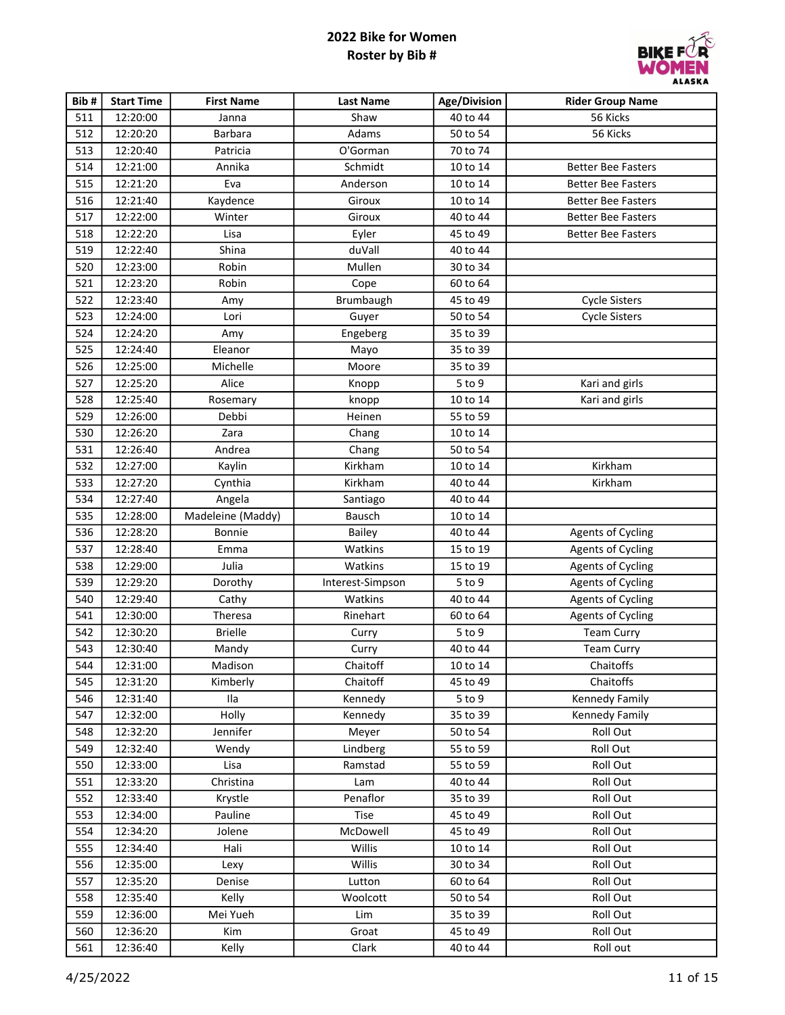

| Bib# | <b>Start Time</b> | <b>First Name</b> | <b>Last Name</b> | <b>Age/Division</b> | <b>Rider Group Name</b>   |
|------|-------------------|-------------------|------------------|---------------------|---------------------------|
| 511  | 12:20:00          | Janna             | Shaw             | 40 to 44            | 56 Kicks                  |
| 512  | 12:20:20          | <b>Barbara</b>    | Adams            | 50 to 54            | 56 Kicks                  |
| 513  | 12:20:40          | Patricia          | O'Gorman         | 70 to 74            |                           |
| 514  | 12:21:00          | Annika            | Schmidt          | 10 to 14            | <b>Better Bee Fasters</b> |
| 515  | 12:21:20          | Eva               | Anderson         | 10 to 14            | <b>Better Bee Fasters</b> |
| 516  | 12:21:40          | Kaydence          | Giroux           | 10 to 14            | <b>Better Bee Fasters</b> |
| 517  | 12:22:00          | Winter            | Giroux           | 40 to 44            | <b>Better Bee Fasters</b> |
| 518  | 12:22:20          | Lisa              | Eyler            | 45 to 49            | <b>Better Bee Fasters</b> |
| 519  | 12:22:40          | Shina             | duVall           | 40 to 44            |                           |
| 520  | 12:23:00          | Robin             | Mullen           | 30 to 34            |                           |
| 521  | 12:23:20          | Robin             | Cope             | 60 to 64            |                           |
| 522  | 12:23:40          | Amy               | Brumbaugh        | 45 to 49            | <b>Cycle Sisters</b>      |
| 523  | 12:24:00          | Lori              | Guyer            | 50 to 54            | <b>Cycle Sisters</b>      |
| 524  | 12:24:20          | Amy               | Engeberg         | 35 to 39            |                           |
| 525  | 12:24:40          | Eleanor           | Mayo             | 35 to 39            |                           |
| 526  | 12:25:00          | Michelle          | Moore            | 35 to 39            |                           |
| 527  | 12:25:20          | Alice             | Knopp            | 5 to 9              | Kari and girls            |
| 528  | 12:25:40          | Rosemary          | knopp            | 10 to 14            | Kari and girls            |
| 529  | 12:26:00          | Debbi             | Heinen           | 55 to 59            |                           |
| 530  | 12:26:20          | Zara              | Chang            | 10 to 14            |                           |
| 531  | 12:26:40          | Andrea            | Chang            | 50 to 54            |                           |
| 532  | 12:27:00          | Kaylin            | Kirkham          | 10 to 14            | Kirkham                   |
| 533  | 12:27:20          | Cynthia           | Kirkham          | 40 to 44            | Kirkham                   |
| 534  | 12:27:40          | Angela            | Santiago         | 40 to 44            |                           |
| 535  | 12:28:00          | Madeleine (Maddy) | Bausch           | 10 to 14            |                           |
| 536  | 12:28:20          | Bonnie            | Bailey           | 40 to 44            | <b>Agents of Cycling</b>  |
| 537  | 12:28:40          | Emma              | Watkins          | 15 to 19            | <b>Agents of Cycling</b>  |
| 538  | 12:29:00          | Julia             | Watkins          | 15 to 19            | <b>Agents of Cycling</b>  |
| 539  | 12:29:20          | Dorothy           | Interest-Simpson | 5 to 9              | <b>Agents of Cycling</b>  |
| 540  | 12:29:40          | Cathy             | Watkins          | 40 to 44            | <b>Agents of Cycling</b>  |
| 541  | 12:30:00          | Theresa           | Rinehart         | 60 to 64            | <b>Agents of Cycling</b>  |
| 542  | 12:30:20          | <b>Brielle</b>    | Curry            | $5$ to $9$          | <b>Team Curry</b>         |
| 543  | 12:30:40          | Mandy             | Curry            | 40 to 44            | <b>Team Curry</b>         |
| 544  | 12:31:00          | Madison           | Chaitoff         | 10 to 14            | Chaitoffs                 |
| 545  | 12:31:20          | Kimberly          | Chaitoff         | 45 to 49            | Chaitoffs                 |
| 546  | 12:31:40          | Ila               | Kennedy          | $5$ to $9$          | Kennedy Family            |
| 547  | 12:32:00          | Holly             | Kennedy          | 35 to 39            | Kennedy Family            |
| 548  | 12:32:20          | Jennifer          | Meyer            | 50 to 54            | Roll Out                  |
| 549  | 12:32:40          | Wendy             | Lindberg         | 55 to 59            | Roll Out                  |
| 550  | 12:33:00          | Lisa              | Ramstad          | 55 to 59            | Roll Out                  |
| 551  | 12:33:20          | Christina         | Lam              | 40 to 44            | Roll Out                  |
| 552  | 12:33:40          | Krystle           | Penaflor         | 35 to 39            | Roll Out                  |
| 553  | 12:34:00          | Pauline           | Tise             | 45 to 49            | Roll Out                  |
| 554  | 12:34:20          | Jolene            | McDowell         | 45 to 49            | Roll Out                  |
| 555  | 12:34:40          | Hali              | Willis           | 10 to 14            | Roll Out                  |
| 556  | 12:35:00          | Lexy              | Willis           | 30 to 34            | Roll Out                  |
| 557  | 12:35:20          | Denise            | Lutton           | 60 to 64            | Roll Out                  |
| 558  | 12:35:40          | Kelly             | Woolcott         | 50 to 54            | Roll Out                  |
| 559  | 12:36:00          | Mei Yueh          | Lim              | 35 to 39            | Roll Out                  |
| 560  | 12:36:20          | Kim               | Groat            | 45 to 49            | Roll Out                  |
| 561  | 12:36:40          | Kelly             | Clark            | 40 to 44            | Roll out                  |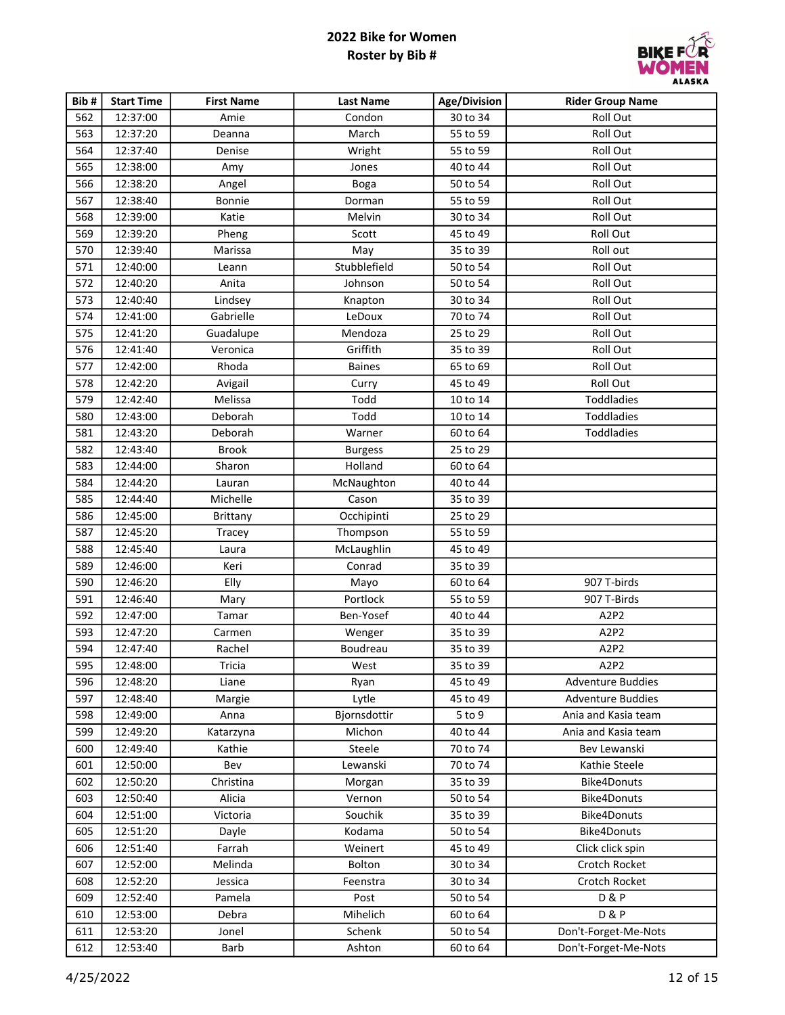

| Bib# | <b>Start Time</b> | <b>First Name</b> | <b>Last Name</b> | Age/Division | <b>Rider Group Name</b>       |
|------|-------------------|-------------------|------------------|--------------|-------------------------------|
| 562  | 12:37:00          | Amie              | Condon           | 30 to 34     | Roll Out                      |
| 563  | 12:37:20          | Deanna            | March            | 55 to 59     | Roll Out                      |
| 564  | 12:37:40          | Denise            | Wright           | 55 to 59     | Roll Out                      |
| 565  | 12:38:00          | Amy               | Jones            | 40 to 44     | Roll Out                      |
| 566  | 12:38:20          | Angel             | Boga             | 50 to 54     | Roll Out                      |
| 567  | 12:38:40          | Bonnie            | Dorman           | 55 to 59     | Roll Out                      |
| 568  | 12:39:00          | Katie             | Melvin           | 30 to 34     | Roll Out                      |
| 569  | 12:39:20          | Pheng             | Scott            | 45 to 49     | Roll Out                      |
| 570  | 12:39:40          | Marissa           | May              | 35 to 39     | Roll out                      |
| 571  | 12:40:00          | Leann             | Stubblefield     | 50 to 54     | Roll Out                      |
| 572  | 12:40:20          | Anita             | Johnson          | 50 to 54     | Roll Out                      |
| 573  | 12:40:40          | Lindsey           | Knapton          | 30 to 34     | Roll Out                      |
| 574  | 12:41:00          | Gabrielle         | LeDoux           | 70 to 74     | Roll Out                      |
| 575  | 12:41:20          | Guadalupe         | Mendoza          | 25 to 29     | Roll Out                      |
| 576  | 12:41:40          | Veronica          | Griffith         | 35 to 39     | Roll Out                      |
| 577  | 12:42:00          | Rhoda             | <b>Baines</b>    | 65 to 69     | Roll Out                      |
| 578  | 12:42:20          | Avigail           | Curry            | 45 to 49     | Roll Out                      |
| 579  | 12:42:40          | Melissa           | Todd             | 10 to 14     | Toddladies                    |
| 580  | 12:43:00          | Deborah           | Todd             | 10 to 14     | Toddladies                    |
| 581  | 12:43:20          | Deborah           | Warner           | 60 to 64     | Toddladies                    |
| 582  | 12:43:40          | <b>Brook</b>      | <b>Burgess</b>   | 25 to 29     |                               |
| 583  | 12:44:00          | Sharon            | Holland          | 60 to 64     |                               |
| 584  | 12:44:20          | Lauran            | McNaughton       | 40 to 44     |                               |
| 585  | 12:44:40          | Michelle          | Cason            | 35 to 39     |                               |
| 586  | 12:45:00          | Brittany          | Occhipinti       | 25 to 29     |                               |
| 587  | 12:45:20          | Tracey            | Thompson         | 55 to 59     |                               |
| 588  | 12:45:40          | Laura             | McLaughlin       | 45 to 49     |                               |
| 589  | 12:46:00          | Keri              | Conrad           | 35 to 39     |                               |
| 590  | 12:46:20          | Elly              | Mayo             | 60 to 64     | 907 T-birds                   |
| 591  | 12:46:40          | Mary              | Portlock         | 55 to 59     | 907 T-Birds                   |
| 592  | 12:47:00          | Tamar             | Ben-Yosef        | 40 to 44     | A <sub>2</sub> P <sub>2</sub> |
| 593  | 12:47:20          | Carmen            | Wenger           | 35 to 39     | A2P2                          |
| 594  | 12:47:40          | Rachel            | Boudreau         | 35 to 39     | A2P2                          |
| 595  | 12:48:00          | Tricia            | West             | 35 to 39     | A <sub>2</sub> P <sub>2</sub> |
| 596  | 12:48:20          | Liane             | Ryan             | 45 to 49     | <b>Adventure Buddies</b>      |
| 597  | 12:48:40          | Margie            | Lytle            | 45 to 49     | <b>Adventure Buddies</b>      |
| 598  | 12:49:00          | Anna              | Bjornsdottir     | 5 to 9       | Ania and Kasia team           |
| 599  | 12:49:20          | Katarzyna         | Michon           | 40 to 44     | Ania and Kasia team           |
| 600  | 12:49:40          | Kathie            | Steele           | 70 to 74     | Bev Lewanski                  |
| 601  | 12:50:00          | Bev               | Lewanski         | 70 to 74     | Kathie Steele                 |
| 602  | 12:50:20          | Christina         | Morgan           | 35 to 39     | <b>Bike4Donuts</b>            |
| 603  | 12:50:40          | Alicia            | Vernon           | 50 to 54     | Bike4Donuts                   |
| 604  | 12:51:00          | Victoria          | Souchik          | 35 to 39     | <b>Bike4Donuts</b>            |
| 605  | 12:51:20          | Dayle             | Kodama           | 50 to 54     | Bike4Donuts                   |
| 606  | 12:51:40          | Farrah            | Weinert          | 45 to 49     | Click click spin              |
| 607  | 12:52:00          | Melinda           | Bolton           | 30 to 34     | Crotch Rocket                 |
| 608  | 12:52:20          | Jessica           | Feenstra         | 30 to 34     | Crotch Rocket                 |
| 609  | 12:52:40          | Pamela            | Post             | 50 to 54     | <b>D&amp;P</b>                |
| 610  | 12:53:00          | Debra             | Mihelich         | 60 to 64     | <b>D&amp;P</b>                |
| 611  | 12:53:20          | Jonel             | Schenk           | 50 to 54     | Don't-Forget-Me-Nots          |
| 612  | 12:53:40          | Barb              | Ashton           | 60 to 64     | Don't-Forget-Me-Nots          |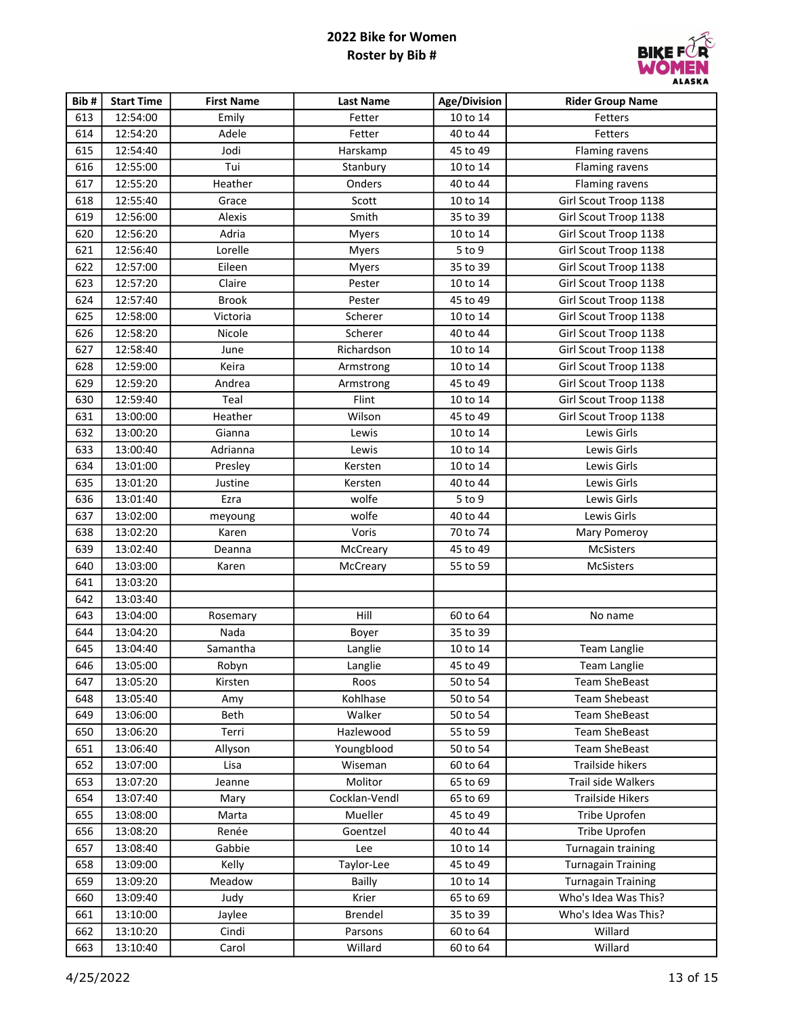

| Bib# | <b>Start Time</b> | <b>First Name</b> | <b>Last Name</b> | Age/Division | <b>Rider Group Name</b>   |
|------|-------------------|-------------------|------------------|--------------|---------------------------|
| 613  | 12:54:00          | Emily             | Fetter           | 10 to 14     | Fetters                   |
| 614  | 12:54:20          | Adele             | Fetter           | 40 to 44     | Fetters                   |
| 615  | 12:54:40          | Jodi              | Harskamp         | 45 to 49     | Flaming ravens            |
| 616  | 12:55:00          | Tui               | Stanbury         | 10 to 14     | Flaming ravens            |
| 617  | 12:55:20          | Heather           | Onders           | 40 to 44     | Flaming ravens            |
| 618  | 12:55:40          | Grace             | Scott            | 10 to 14     | Girl Scout Troop 1138     |
| 619  | 12:56:00          | Alexis            | Smith            | 35 to 39     | Girl Scout Troop 1138     |
| 620  | 12:56:20          | Adria             | Myers            | 10 to 14     | Girl Scout Troop 1138     |
| 621  | 12:56:40          | Lorelle           | Myers            | 5 to 9       | Girl Scout Troop 1138     |
| 622  | 12:57:00          | Eileen            | Myers            | 35 to 39     | Girl Scout Troop 1138     |
| 623  | 12:57:20          | Claire            | Pester           | 10 to 14     | Girl Scout Troop 1138     |
| 624  | 12:57:40          | <b>Brook</b>      | Pester           | 45 to 49     | Girl Scout Troop 1138     |
| 625  | 12:58:00          | Victoria          | Scherer          | 10 to 14     | Girl Scout Troop 1138     |
| 626  | 12:58:20          | Nicole            | Scherer          | 40 to 44     | Girl Scout Troop 1138     |
| 627  | 12:58:40          | June              | Richardson       | 10 to 14     | Girl Scout Troop 1138     |
| 628  | 12:59:00          | Keira             | Armstrong        | 10 to 14     | Girl Scout Troop 1138     |
| 629  | 12:59:20          | Andrea            | Armstrong        | 45 to 49     | Girl Scout Troop 1138     |
| 630  | 12:59:40          | Teal              | Flint            | 10 to 14     | Girl Scout Troop 1138     |
| 631  | 13:00:00          | Heather           | Wilson           | 45 to 49     | Girl Scout Troop 1138     |
| 632  | 13:00:20          | Gianna            | Lewis            | 10 to 14     | Lewis Girls               |
| 633  | 13:00:40          | Adrianna          | Lewis            | 10 to 14     | Lewis Girls               |
| 634  | 13:01:00          | Presley           | Kersten          | 10 to 14     | Lewis Girls               |
| 635  | 13:01:20          | Justine           | Kersten          | 40 to 44     | Lewis Girls               |
| 636  | 13:01:40          | Ezra              | wolfe            | 5 to 9       | Lewis Girls               |
| 637  | 13:02:00          | meyoung           | wolfe            | 40 to 44     | Lewis Girls               |
| 638  | 13:02:20          | Karen             | Voris            | 70 to 74     | Mary Pomeroy              |
| 639  | 13:02:40          | Deanna            | McCreary         | 45 to 49     | McSisters                 |
| 640  | 13:03:00          | Karen             | McCreary         | 55 to 59     | McSisters                 |
| 641  | 13:03:20          |                   |                  |              |                           |
| 642  | 13:03:40          |                   |                  |              |                           |
| 643  | 13:04:00          | Rosemary          | Hill             | 60 to 64     | No name                   |
| 644  | 13:04:20          | Nada              | Boyer            | 35 to 39     |                           |
| 645  | 13:04:40          | Samantha          | Langlie          | 10 to 14     | <b>Team Langlie</b>       |
| 646  | 13:05:00          | Robyn             | Langlie          | 45 to 49     | <b>Team Langlie</b>       |
| 647  | 13:05:20          | Kirsten           | Roos             | 50 to 54     | <b>Team SheBeast</b>      |
| 648  | 13:05:40          | Amy               | Kohlhase         | 50 to 54     | <b>Team Shebeast</b>      |
| 649  | 13:06:00          | Beth              | Walker           | 50 to 54     | <b>Team SheBeast</b>      |
| 650  | 13:06:20          | Terri             | Hazlewood        | 55 to 59     | <b>Team SheBeast</b>      |
| 651  | 13:06:40          | Allyson           | Youngblood       | 50 to 54     | <b>Team SheBeast</b>      |
| 652  | 13:07:00          | Lisa              | Wiseman          | 60 to 64     | Trailside hikers          |
| 653  | 13:07:20          | Jeanne            | Molitor          | 65 to 69     | Trail side Walkers        |
| 654  | 13:07:40          | Mary              | Cocklan-Vendl    | 65 to 69     | <b>Trailside Hikers</b>   |
| 655  | 13:08:00          | Marta             | Mueller          | 45 to 49     | Tribe Uprofen             |
| 656  | 13:08:20          | Renée             | Goentzel         | 40 to 44     | Tribe Uprofen             |
| 657  | 13:08:40          | Gabbie            | Lee              | 10 to 14     | Turnagain training        |
| 658  | 13:09:00          | Kelly             | Taylor-Lee       | 45 to 49     | <b>Turnagain Training</b> |
| 659  | 13:09:20          | Meadow            | <b>Bailly</b>    | 10 to 14     | <b>Turnagain Training</b> |
| 660  | 13:09:40          | Judy              | Krier            | 65 to 69     | Who's Idea Was This?      |
| 661  | 13:10:00          | Jaylee            | Brendel          | 35 to 39     | Who's Idea Was This?      |
| 662  | 13:10:20          | Cindi             | Parsons          | 60 to 64     | Willard                   |
| 663  | 13:10:40          | Carol             | Willard          | 60 to 64     | Willard                   |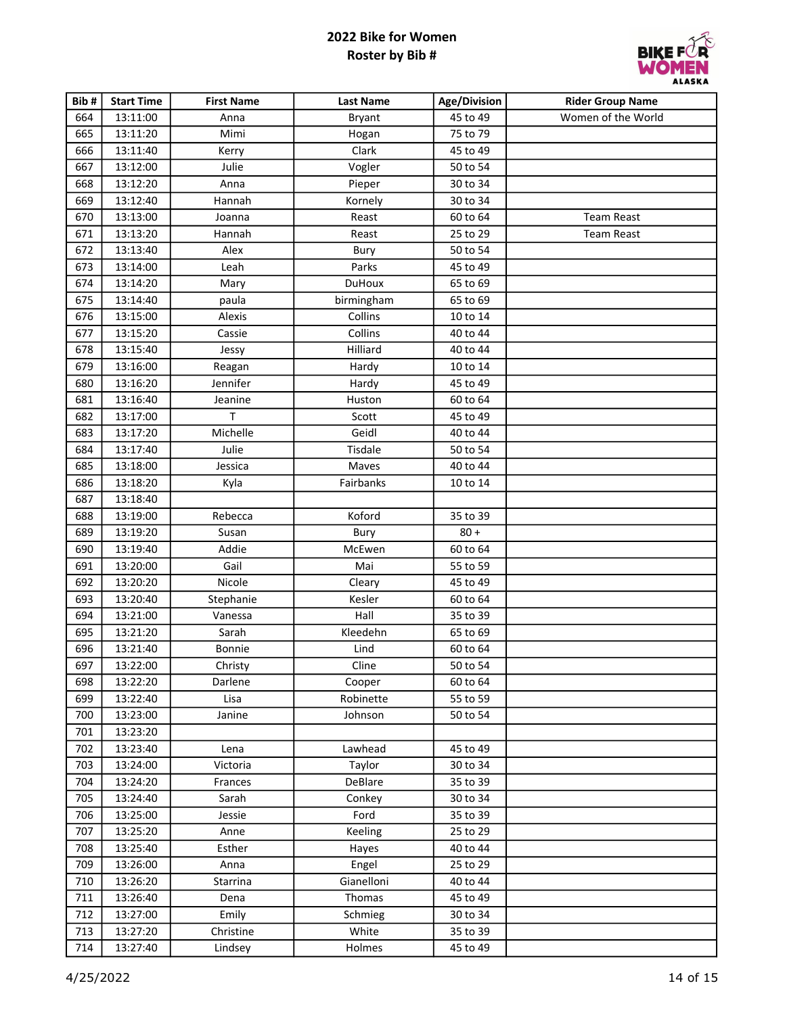

| Bib# | <b>Start Time</b> | <b>First Name</b> | <b>Last Name</b> | Age/Division | <b>Rider Group Name</b> |
|------|-------------------|-------------------|------------------|--------------|-------------------------|
| 664  | 13:11:00          | Anna              | <b>Bryant</b>    | 45 to 49     | Women of the World      |
| 665  | 13:11:20          | Mimi              | Hogan            | 75 to 79     |                         |
| 666  | 13:11:40          | Kerry             | Clark            | 45 to 49     |                         |
| 667  | 13:12:00          | Julie             | Vogler           | 50 to 54     |                         |
| 668  | 13:12:20          | Anna              | Pieper           | 30 to 34     |                         |
| 669  | 13:12:40          | Hannah            | Kornely          | 30 to 34     |                         |
| 670  | 13:13:00          | Joanna            | Reast            | 60 to 64     | <b>Team Reast</b>       |
| 671  | 13:13:20          | Hannah            | Reast            | 25 to 29     | <b>Team Reast</b>       |
| 672  | 13:13:40          | Alex              | Bury             | 50 to 54     |                         |
| 673  | 13:14:00          | Leah              | Parks            | 45 to 49     |                         |
| 674  | 13:14:20          | Mary              | <b>DuHoux</b>    | 65 to 69     |                         |
| 675  | 13:14:40          | paula             | birmingham       | 65 to 69     |                         |
| 676  | 13:15:00          | Alexis            | Collins          | 10 to 14     |                         |
| 677  | 13:15:20          | Cassie            | Collins          | 40 to 44     |                         |
| 678  | 13:15:40          | Jessy             | Hilliard         | 40 to 44     |                         |
| 679  | 13:16:00          | Reagan            | Hardy            | 10 to 14     |                         |
| 680  | 13:16:20          | Jennifer          | Hardy            | 45 to 49     |                         |
| 681  | 13:16:40          | Jeanine           | Huston           | 60 to 64     |                         |
| 682  | 13:17:00          | $\top$            | Scott            | 45 to 49     |                         |
| 683  | 13:17:20          | Michelle          | Geidl            | 40 to 44     |                         |
| 684  | 13:17:40          | Julie             | Tisdale          | 50 to 54     |                         |
| 685  | 13:18:00          | Jessica           | Maves            | 40 to 44     |                         |
| 686  | 13:18:20          | Kyla              | Fairbanks        | 10 to 14     |                         |
| 687  | 13:18:40          |                   |                  |              |                         |
| 688  | 13:19:00          | Rebecca           | Koford           | 35 to 39     |                         |
| 689  | 13:19:20          | Susan             | Bury             | $80 +$       |                         |
| 690  | 13:19:40          | Addie             | McEwen           | 60 to 64     |                         |
| 691  | 13:20:00          | Gail              | Mai              | 55 to 59     |                         |
| 692  | 13:20:20          | Nicole            | Cleary           | 45 to 49     |                         |
| 693  | 13:20:40          | Stephanie         | Kesler           | 60 to 64     |                         |
| 694  | 13:21:00          | Vanessa           | Hall             | 35 to 39     |                         |
| 695  | 13:21:20          | Sarah             | Kleedehn         | 65 to 69     |                         |
| 696  | 13:21:40          | Bonnie            | Lind             | 60 to 64     |                         |
| 697  | 13:22:00          | Christy           | Cline            | 50 to 54     |                         |
| 698  | 13:22:20          | Darlene           | Cooper           | 60 to 64     |                         |
| 699  | 13:22:40          | Lisa              | Robinette        | 55 to 59     |                         |
| 700  | 13:23:00          | Janine            | Johnson          | 50 to 54     |                         |
| 701  | 13:23:20          |                   |                  |              |                         |
| 702  | 13:23:40          | Lena              | Lawhead          | 45 to 49     |                         |
| 703  | 13:24:00          | Victoria          | Taylor           | 30 to 34     |                         |
| 704  | 13:24:20          | Frances           | DeBlare          | 35 to 39     |                         |
| 705  | 13:24:40          | Sarah             | Conkey           | 30 to 34     |                         |
| 706  | 13:25:00          | Jessie            | Ford             | 35 to 39     |                         |
| 707  | 13:25:20          | Anne              | Keeling          | 25 to 29     |                         |
| 708  | 13:25:40          | Esther            | Hayes            | 40 to 44     |                         |
| 709  | 13:26:00          | Anna              | Engel            | 25 to 29     |                         |
| 710  | 13:26:20          | Starrina          | Gianelloni       | 40 to 44     |                         |
| 711  | 13:26:40          | Dena              | Thomas           | 45 to 49     |                         |
| 712  | 13:27:00          | Emily             | Schmieg          | 30 to 34     |                         |
| 713  | 13:27:20          | Christine         | White            | 35 to 39     |                         |
| 714  | 13:27:40          | Lindsey           | Holmes           | 45 to 49     |                         |